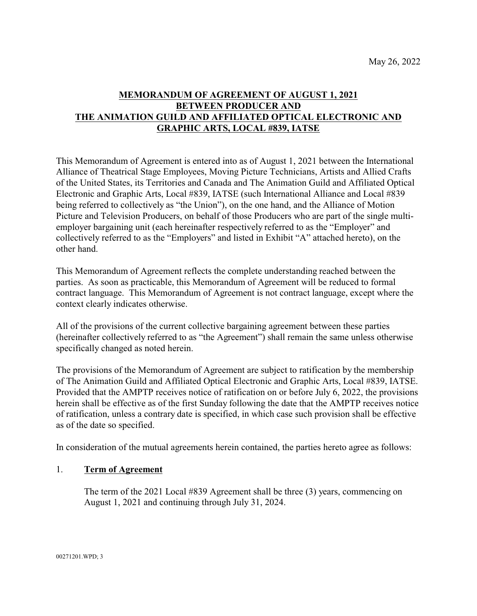## **MEMORANDUM OF AGREEMENT OF AUGUST 1, 2021 BETWEEN PRODUCER AND THE ANIMATION GUILD AND AFFILIATED OPTICAL ELECTRONIC AND GRAPHIC ARTS, LOCAL #839, IATSE**

This Memorandum of Agreement is entered into as of August 1, 2021 between the International Alliance of Theatrical Stage Employees, Moving Picture Technicians, Artists and Allied Crafts of the United States, its Territories and Canada and The Animation Guild and Affiliated Optical Electronic and Graphic Arts, Local #839, IATSE (such International Alliance and Local #839 being referred to collectively as "the Union"), on the one hand, and the Alliance of Motion Picture and Television Producers, on behalf of those Producers who are part of the single multiemployer bargaining unit (each hereinafter respectively referred to as the "Employer" and collectively referred to as the "Employers" and listed in Exhibit "A" attached hereto), on the other hand.

This Memorandum of Agreement reflects the complete understanding reached between the parties. As soon as practicable, this Memorandum of Agreement will be reduced to formal contract language. This Memorandum of Agreement is not contract language, except where the context clearly indicates otherwise.

All of the provisions of the current collective bargaining agreement between these parties (hereinafter collectively referred to as "the Agreement") shall remain the same unless otherwise specifically changed as noted herein.

The provisions of the Memorandum of Agreement are subject to ratification by the membership of The Animation Guild and Affiliated Optical Electronic and Graphic Arts, Local #839, IATSE. Provided that the AMPTP receives notice of ratification on or before July 6, 2022, the provisions herein shall be effective as of the first Sunday following the date that the AMPTP receives notice of ratification, unless a contrary date is specified, in which case such provision shall be effective as of the date so specified.

In consideration of the mutual agreements herein contained, the parties hereto agree as follows:

#### 1. **Term of Agreement**

The term of the 2021 Local #839 Agreement shall be three (3) years, commencing on August 1, 2021 and continuing through July 31, 2024.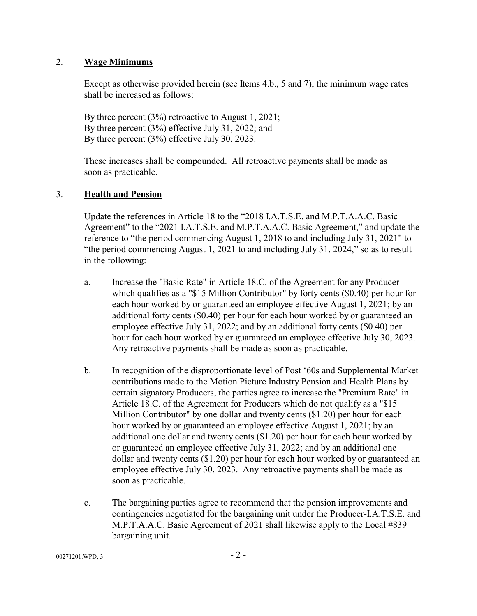### 2. **Wage Minimums**

Except as otherwise provided herein (see Items 4.b., 5 and 7), the minimum wage rates shall be increased as follows:

By three percent (3%) retroactive to August 1, 2021; By three percent (3%) effective July 31, 2022; and By three percent (3%) effective July 30, 2023.

These increases shall be compounded. All retroactive payments shall be made as soon as practicable.

## 3. **Health and Pension**

Update the references in Article 18 to the "2018 I.A.T.S.E. and M.P.T.A.A.C. Basic Agreement" to the "2021 I.A.T.S.E. and M.P.T.A.A.C. Basic Agreement," and update the reference to "the period commencing August 1, 2018 to and including July 31, 2021" to "the period commencing August 1, 2021 to and including July 31, 2024," so as to result in the following:

- a. Increase the "Basic Rate" in Article 18.C. of the Agreement for any Producer which qualifies as a "\$15 Million Contributor" by forty cents (\$0.40) per hour for each hour worked by or guaranteed an employee effective August 1, 2021; by an additional forty cents (\$0.40) per hour for each hour worked by or guaranteed an employee effective July 31, 2022; and by an additional forty cents (\$0.40) per hour for each hour worked by or guaranteed an employee effective July 30, 2023. Any retroactive payments shall be made as soon as practicable.
- b. In recognition of the disproportionate level of Post '60s and Supplemental Market contributions made to the Motion Picture Industry Pension and Health Plans by certain signatory Producers, the parties agree to increase the "Premium Rate" in Article 18.C. of the Agreement for Producers which do not qualify as a "\$15 Million Contributor" by one dollar and twenty cents (\$1.20) per hour for each hour worked by or guaranteed an employee effective August 1, 2021; by an additional one dollar and twenty cents (\$1.20) per hour for each hour worked by or guaranteed an employee effective July 31, 2022; and by an additional one dollar and twenty cents (\$1.20) per hour for each hour worked by or guaranteed an employee effective July 30, 2023. Any retroactive payments shall be made as soon as practicable.
- c. The bargaining parties agree to recommend that the pension improvements and contingencies negotiated for the bargaining unit under the Producer-I.A.T.S.E. and M.P.T.A.A.C. Basic Agreement of 2021 shall likewise apply to the Local #839 bargaining unit.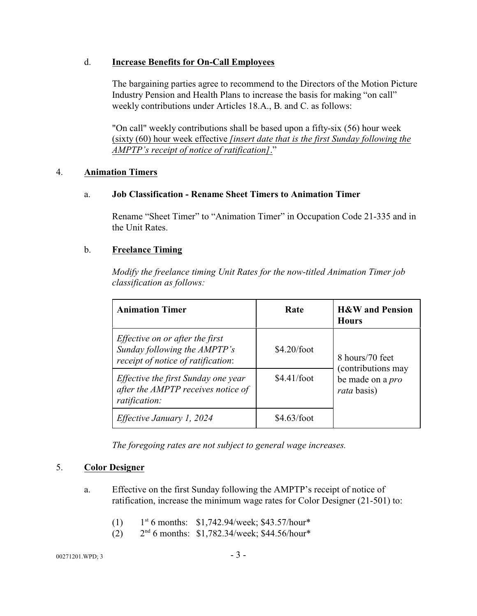### d. **Increase Benefits for On-Call Employees**

The bargaining parties agree to recommend to the Directors of the Motion Picture Industry Pension and Health Plans to increase the basis for making "on call" weekly contributions under Articles 18.A., B. and C. as follows:

"On call" weekly contributions shall be based upon a fifty-six (56) hour week (sixty (60) hour week effective *[insert date that is the first Sunday following the AMPTP's receipt of notice of ratification]*."

### 4. **Animation Timers**

### a. **Job Classification - Rename Sheet Timers to Animation Timer**

Rename "Sheet Timer" to "Animation Timer" in Occupation Code 21-335 and in the Unit Rates.

### b. **Freelance Timing**

*Modify the freelance timing Unit Rates for the now-titled Animation Timer job classification as follows:*

| <b>Animation Timer</b>                                                                                       | Rate          | <b>H&amp;W</b> and Pension<br><b>Hours</b>                          |
|--------------------------------------------------------------------------------------------------------------|---------------|---------------------------------------------------------------------|
| <i>Effective on or after the first</i><br>Sunday following the AMPTP's<br>receipt of notice of ratification: | \$4.20/foot   | 8 hours/70 feet                                                     |
| Effective the first Sunday one year<br>after the AMPTP receives notice of<br>ratification:                   | \$4.41/foot   | (contributions may<br>be made on a <i>pro</i><br><i>rata</i> basis) |
| Effective January 1, 2024                                                                                    | $$4.63/f$ oot |                                                                     |

*The foregoing rates are not subject to general wage increases.*

## 5. **Color Designer**

- a. Effective on the first Sunday following the AMPTP's receipt of notice of ratification, increase the minimum wage rates for Color Designer (21-501) to:
	- $(1)$ st 6 months: \$1,742.94/week; \$43.57/hour\*
	- $(2)$ <sup>nd</sup> 6 months: \$1,782.34/week; \$44.56/hour\*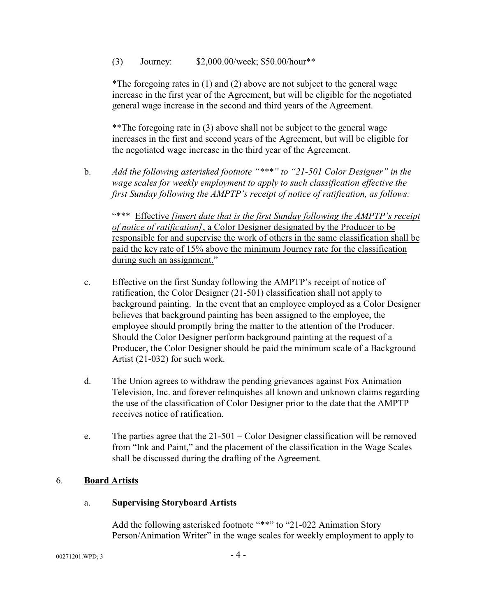(3) Journey: \$2,000.00/week; \$50.00/hour\*\*

\*The foregoing rates in (1) and (2) above are not subject to the general wage increase in the first year of the Agreement, but will be eligible for the negotiated general wage increase in the second and third years of the Agreement.

\*\*The foregoing rate in (3) above shall not be subject to the general wage increases in the first and second years of the Agreement, but will be eligible for the negotiated wage increase in the third year of the Agreement.

b. *Add the following asterisked footnote "\*\*\*" to "21-501 Color Designer" in the wage scales for weekly employment to apply to such classification effective the first Sunday following the AMPTP's receipt of notice of ratification, as follows:*

"\*\*\* Effective *[insert date that is the first Sunday following the AMPTP's receipt of notice of ratification]*, a Color Designer designated by the Producer to be responsible for and supervise the work of others in the same classification shall be paid the key rate of 15% above the minimum Journey rate for the classification during such an assignment."

- c. Effective on the first Sunday following the AMPTP's receipt of notice of ratification, the Color Designer (21-501) classification shall not apply to background painting. In the event that an employee employed as a Color Designer believes that background painting has been assigned to the employee, the employee should promptly bring the matter to the attention of the Producer. Should the Color Designer perform background painting at the request of a Producer, the Color Designer should be paid the minimum scale of a Background Artist (21-032) for such work.
- d. The Union agrees to withdraw the pending grievances against Fox Animation Television, Inc. and forever relinquishes all known and unknown claims regarding the use of the classification of Color Designer prior to the date that the AMPTP receives notice of ratification.
- e. The parties agree that the 21-501 Color Designer classification will be removed from "Ink and Paint," and the placement of the classification in the Wage Scales shall be discussed during the drafting of the Agreement.

#### 6. **Board Artists**

#### a. **Supervising Storyboard Artists**

Add the following asterisked footnote "\*\*" to "21-022 Animation Story Person/Animation Writer" in the wage scales for weekly employment to apply to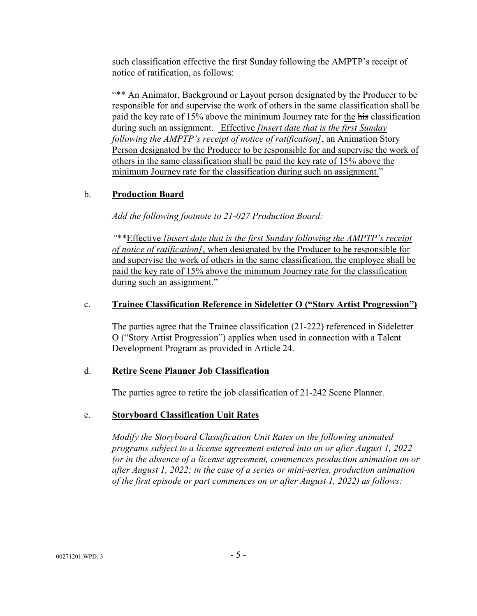such classification effective the first Sunday following the AMPTP's receipt of notice of ratification, as follows:

"\*\* An Animator, Background or Layout person designated by the Producer to be responsible for and supervise the work of others in the same classification shall be paid the key rate of 15% above the minimum Journey rate for the his classification during such an assignment. Effective *[insert date that is the first Sunday following the AMPTP's receipt of notice of ratification]*, an Animation Story Person designated by the Producer to be responsible for and supervise the work of others in the same classification shall be paid the key rate of 15% above the minimum Journey rate for the classification during such an assignment."

## b. **Production Board**

*Add the following footnote to 21-027 Production Board:*

*"*\*\*Effective *[insert date that is the first Sunday following the AMPTP's receipt of notice of ratification]*, when designated by the Producer to be responsible for and supervise the work of others in the same classification, the employee shall be paid the key rate of 15% above the minimum Journey rate for the classification during such an assignment."

## c. **Trainee Classification Reference in Sideletter O ("Story Artist Progression")**

The parties agree that the Trainee classification (21-222) referenced in Sideletter O ("Story Artist Progression") applies when used in connection with a Talent Development Program as provided in Article 24.

## d. **Retire Scene Planner Job Classification**

The parties agree to retire the job classification of 21-242 Scene Planner.

## e. **Storyboard Classification Unit Rates**

*Modify the Storyboard Classification Unit Rates on the following animated programs subject to a license agreement entered into on or after August 1, 2022 (or in the absence of a license agreement, commences production animation on or after August 1, 2022; in the case of a series or mini-series, production animation of the first episode or part commences on or after August 1, 2022) as follows:*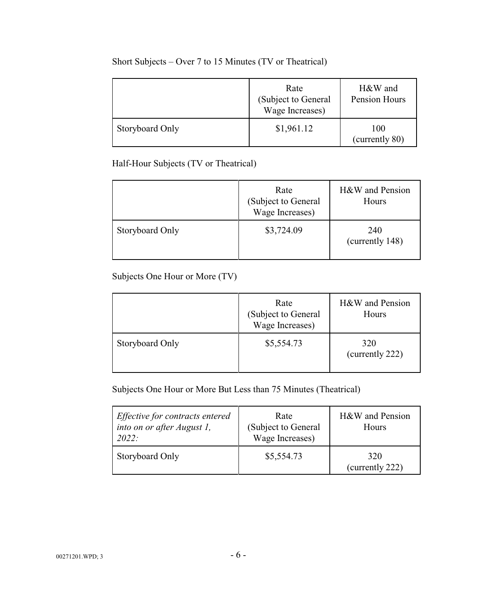|                 | Rate<br>(Subject to General<br>Wage Increases) | H&W and<br>Pension Hours |
|-----------------|------------------------------------------------|--------------------------|
| Storyboard Only | \$1,961.12                                     | 100<br>(currently 80)    |

# Short Subjects – Over 7 to 15 Minutes (TV or Theatrical)

Half-Hour Subjects (TV or Theatrical)

|                 | Rate<br>(Subject to General<br>Wage Increases) | H&W and Pension<br>Hours |
|-----------------|------------------------------------------------|--------------------------|
| Storyboard Only | \$3,724.09                                     | 240<br>(currently 148)   |

Subjects One Hour or More (TV)

|                 | Rate<br>(Subject to General<br>Wage Increases) | H&W and Pension<br>Hours |
|-----------------|------------------------------------------------|--------------------------|
| Storyboard Only | \$5,554.73                                     | 320<br>(currently 222)   |

Subjects One Hour or More But Less than 75 Minutes (Theatrical)

| Effective for contracts entered<br>into on or after August 1,<br>2022: | Rate<br>(Subject to General<br>Wage Increases) | H&W and Pension<br>Hours |
|------------------------------------------------------------------------|------------------------------------------------|--------------------------|
| Storyboard Only                                                        | \$5,554.73                                     | 320<br>(currently 222)   |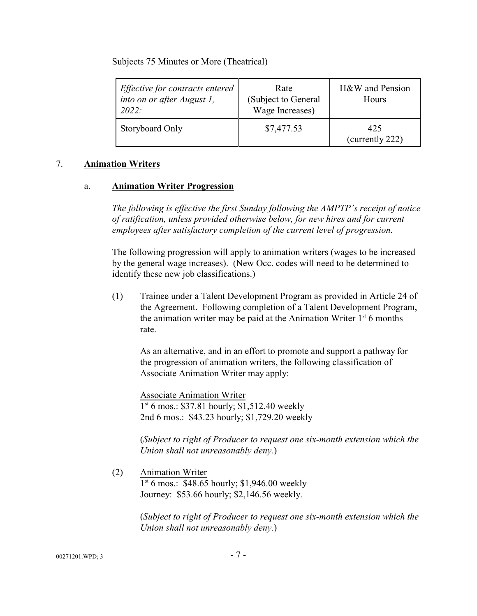Subjects 75 Minutes or More (Theatrical)

| Effective for contracts entered<br>into on or after August 1,<br>2022: | Rate<br>(Subject to General<br>Wage Increases) | H&W and Pension<br>Hours |
|------------------------------------------------------------------------|------------------------------------------------|--------------------------|
| Storyboard Only                                                        | \$7,477.53                                     | 425<br>(currently 222)   |

### 7. **Animation Writers**

### a. **Animation Writer Progression**

*The following is effective the first Sunday following the AMPTP's receipt of notice of ratification, unless provided otherwise below, for new hires and for current employees after satisfactory completion of the current level of progression.* 

The following progression will apply to animation writers (wages to be increased by the general wage increases). (New Occ. codes will need to be determined to identify these new job classifications.)

(1) Trainee under a Talent Development Program as provided in Article 24 of the Agreement. Following completion of a Talent Development Program, the animation writer may be paid at the Animation Writer  $1<sup>st</sup> 6$  months rate.

As an alternative, and in an effort to promote and support a pathway for the progression of animation writers, the following classification of Associate Animation Writer may apply:

Associate Animation Writer 1 st 6 mos.: \$37.81 hourly; \$1,512.40 weekly 2nd 6 mos.: \$43.23 hourly; \$1,729.20 weekly

(*Subject to right of Producer to request one six-month extension which the Union shall not unreasonably deny.*)

(2) Animation Writer 1 st 6 mos.: \$48.65 hourly; \$1,946.00 weekly

Journey: \$53.66 hourly; \$2,146.56 weekly.

(*Subject to right of Producer to request one six-month extension which the Union shall not unreasonably deny.*)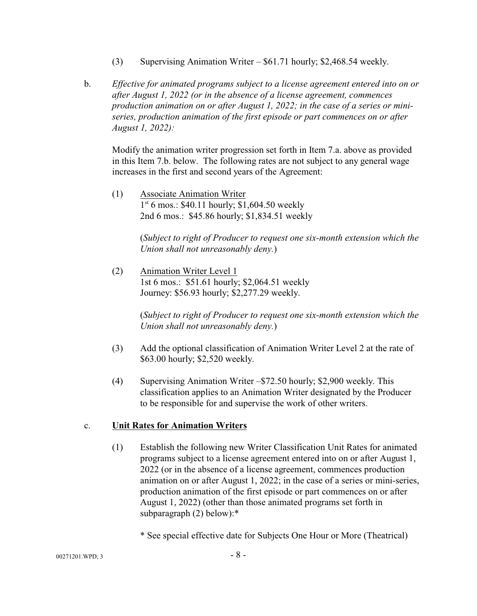- (3) Supervising Animation Writer \$61.71 hourly; \$2,468.54 weekly.
- b. *Effective for animated programs subject to a license agreement entered into on or after August 1, 2022 (or in the absence of a license agreement, commences production animation on or after August 1, 2022; in the case of a series or miniseries, production animation of the first episode or part commences on or after August 1, 2022):*

Modify the animation writer progression set forth in Item 7.a. above as provided in this Item 7.b. below. The following rates are not subject to any general wage increases in the first and second years of the Agreement:

(1) Associate Animation Writer 1 st 6 mos.: \$40.11 hourly; \$1,604.50 weekly 2nd 6 mos.: \$45.86 hourly; \$1,834.51 weekly

> (*Subject to right of Producer to request one six-month extension which the Union shall not unreasonably deny.*)

(2) Animation Writer Level 1 1st 6 mos.: \$51.61 hourly; \$2,064.51 weekly Journey: \$56.93 hourly; \$2,277.29 weekly.

> (*Subject to right of Producer to request one six-month extension which the Union shall not unreasonably deny.*)

- (3) Add the optional classification of Animation Writer Level 2 at the rate of \$63.00 hourly; \$2,520 weekly.
- (4) Supervising Animation Writer –\$72.50 hourly; \$2,900 weekly. This classification applies to an Animation Writer designated by the Producer to be responsible for and supervise the work of other writers.

## c. **Unit Rates for Animation Writers**

(1) Establish the following new Writer Classification Unit Rates for animated programs subject to a license agreement entered into on or after August 1, 2022 (or in the absence of a license agreement, commences production animation on or after August 1, 2022; in the case of a series or mini-series, production animation of the first episode or part commences on or after August 1, 2022) (other than those animated programs set forth in subparagraph (2) below):\*

\* See special effective date for Subjects One Hour or More (Theatrical)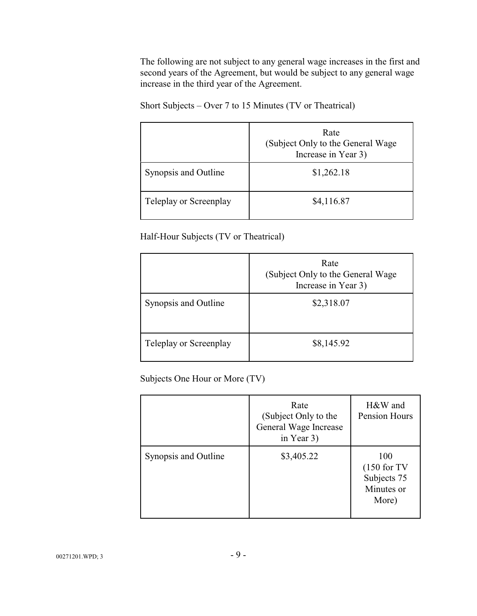The following are not subject to any general wage increases in the first and second years of the Agreement, but would be subject to any general wage increase in the third year of the Agreement.

Short Subjects – Over 7 to 15 Minutes (TV or Theatrical)

|                        | Rate<br>(Subject Only to the General Wage)<br>Increase in Year 3) |
|------------------------|-------------------------------------------------------------------|
| Synopsis and Outline   | \$1,262.18                                                        |
| Teleplay or Screenplay | \$4,116.87                                                        |

Half-Hour Subjects (TV or Theatrical)

|                        | Rate<br>(Subject Only to the General Wage<br>Increase in Year 3) |
|------------------------|------------------------------------------------------------------|
| Synopsis and Outline   | \$2,318.07                                                       |
| Teleplay or Screenplay | \$8,145.92                                                       |

Subjects One Hour or More (TV)

|                      | Rate<br>(Subject Only to the<br>General Wage Increase<br>in Year 3) | H&W and<br>Pension Hours                                   |
|----------------------|---------------------------------------------------------------------|------------------------------------------------------------|
| Synopsis and Outline | \$3,405.22                                                          | 100<br>$(150$ for TV<br>Subjects 75<br>Minutes or<br>More) |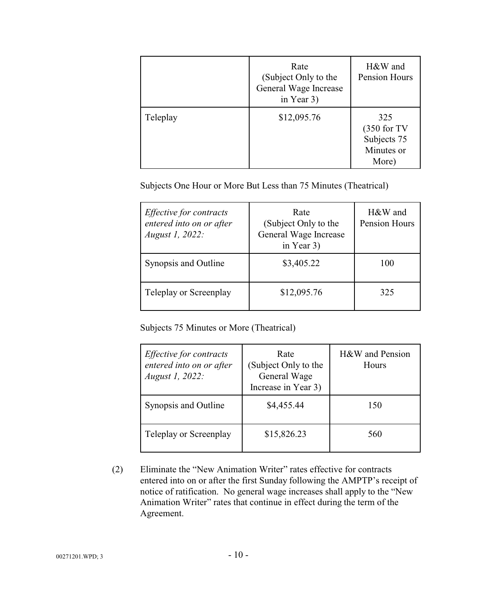|          | Rate<br>(Subject Only to the<br>General Wage Increase<br>in Year 3) | H&W and<br>Pension Hours                                   |
|----------|---------------------------------------------------------------------|------------------------------------------------------------|
| Teleplay | \$12,095.76                                                         | 325<br>$(350$ for TV<br>Subjects 75<br>Minutes or<br>More) |

Subjects One Hour or More But Less than 75 Minutes (Theatrical)

| <i>Effective for contracts</i><br>entered into on or after<br><i>August 1, 2022:</i> | Rate<br>(Subject Only to the<br>General Wage Increase<br>in Year 3) | H&W and<br>Pension Hours |
|--------------------------------------------------------------------------------------|---------------------------------------------------------------------|--------------------------|
| Synopsis and Outline                                                                 | \$3,405.22                                                          | 100                      |
| Teleplay or Screenplay                                                               | \$12,095.76                                                         | 325                      |

Subjects 75 Minutes or More (Theatrical)

| <i>Effective for contracts</i><br>entered into on or after<br>August 1, 2022: | Rate<br>(Subject Only to the<br>General Wage<br>Increase in Year 3) | H&W and Pension<br>Hours |
|-------------------------------------------------------------------------------|---------------------------------------------------------------------|--------------------------|
| Synopsis and Outline                                                          | \$4,455.44                                                          | 150                      |
| Teleplay or Screenplay                                                        | \$15,826.23                                                         | 560                      |

(2) Eliminate the "New Animation Writer" rates effective for contracts entered into on or after the first Sunday following the AMPTP's receipt of notice of ratification. No general wage increases shall apply to the "New Animation Writer" rates that continue in effect during the term of the Agreement.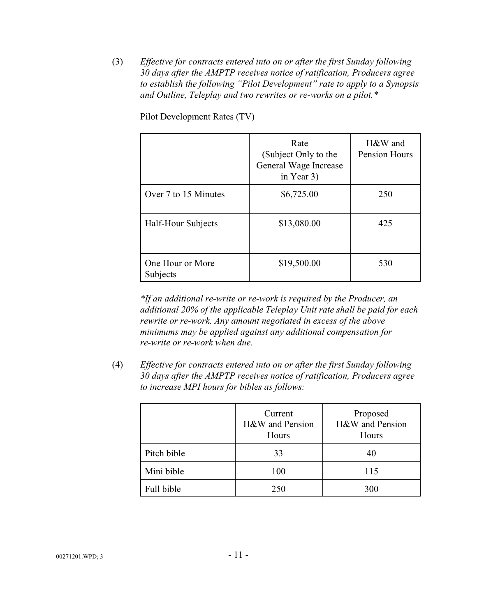(3) *Effective for contracts entered into on or after the first Sunday following 30 days after the AMPTP receives notice of ratification, Producers agree to establish the following "Pilot Development" rate to apply to a Synopsis and Outline, Teleplay and two rewrites or re-works on a pilot.\**

|                              | Rate<br>(Subject Only to the<br>General Wage Increase<br>in Year 3) | H&W and<br>Pension Hours |
|------------------------------|---------------------------------------------------------------------|--------------------------|
| Over 7 to 15 Minutes         | \$6,725.00                                                          | 250                      |
| Half-Hour Subjects           | \$13,080.00                                                         | 425                      |
| One Hour or More<br>Subjects | \$19,500.00                                                         | 530                      |

Pilot Development Rates (TV)

*\*If an additional re-write or re-work is required by the Producer, an additional 20% of the applicable Teleplay Unit rate shall be paid for each rewrite or re-work. Any amount negotiated in excess of the above minimums may be applied against any additional compensation for re-write or re-work when due.*

(4) *Effective for contracts entered into on or after the first Sunday following 30 days after the AMPTP receives notice of ratification, Producers agree to increase MPI hours for bibles as follows:*

|             | Current<br>H&W and Pension<br>Hours | Proposed<br>H&W and Pension<br>Hours |
|-------------|-------------------------------------|--------------------------------------|
| Pitch bible | 33                                  | 40                                   |
| Mini bible  | 100                                 | 115                                  |
| Full bible  | 250                                 | 300                                  |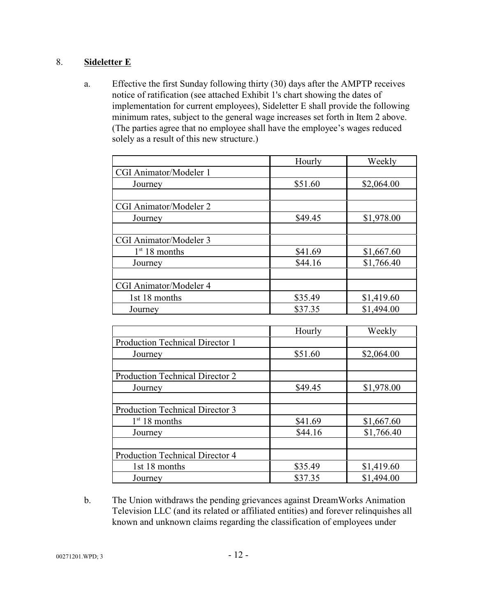## 8. **Sideletter E**

a. Effective the first Sunday following thirty (30) days after the AMPTP receives notice of ratification (see attached Exhibit 1's chart showing the dates of implementation for current employees), Sideletter E shall provide the following minimum rates, subject to the general wage increases set forth in Item 2 above. (The parties agree that no employee shall have the employee's wages reduced solely as a result of this new structure.)

|                        | Hourly  | Weekly     |
|------------------------|---------|------------|
| CGI Animator/Modeler 1 |         |            |
| Journey                | \$51.60 | \$2,064.00 |
|                        |         |            |
| CGI Animator/Modeler 2 |         |            |
| Journey                | \$49.45 | \$1,978.00 |
|                        |         |            |
| CGI Animator/Modeler 3 |         |            |
| $1st 18$ months        | \$41.69 | \$1,667.60 |
| Journey                | \$44.16 | \$1,766.40 |
|                        |         |            |
| CGI Animator/Modeler 4 |         |            |
| 1st 18 months          | \$35.49 | \$1,419.60 |
| Journey                | \$37.35 | \$1,494.00 |

|                                 | Hourly  | Weekly     |
|---------------------------------|---------|------------|
| Production Technical Director 1 |         |            |
| Journey                         | \$51.60 | \$2,064.00 |
| Production Technical Director 2 |         |            |
| Journey                         | \$49.45 | \$1,978.00 |
| Production Technical Director 3 |         |            |
| $1st 18$ months                 | \$41.69 | \$1,667.60 |
| Journey                         | \$44.16 | \$1,766.40 |
|                                 |         |            |
| Production Technical Director 4 |         |            |
| 1st 18 months                   | \$35.49 | \$1,419.60 |
| Journey                         | \$37.35 | \$1,494.00 |

b. The Union withdraws the pending grievances against DreamWorks Animation Television LLC (and its related or affiliated entities) and forever relinquishes all known and unknown claims regarding the classification of employees under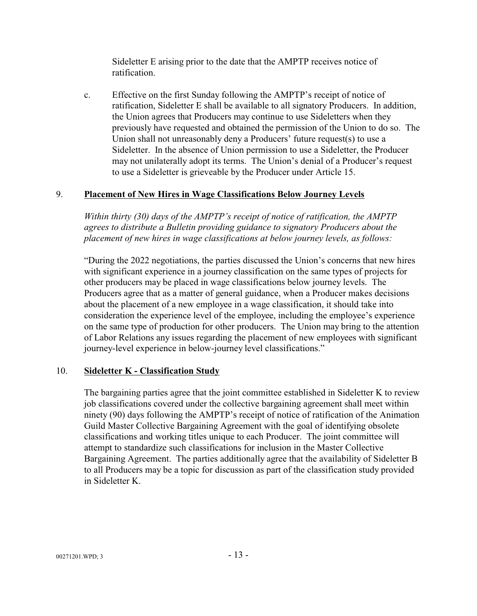Sideletter E arising prior to the date that the AMPTP receives notice of ratification.

c. Effective on the first Sunday following the AMPTP's receipt of notice of ratification, Sideletter E shall be available to all signatory Producers. In addition, the Union agrees that Producers may continue to use Sideletters when they previously have requested and obtained the permission of the Union to do so. The Union shall not unreasonably deny a Producers' future request(s) to use a Sideletter. In the absence of Union permission to use a Sideletter, the Producer may not unilaterally adopt its terms. The Union's denial of a Producer's request to use a Sideletter is grieveable by the Producer under Article 15.

## 9. **Placement of New Hires in Wage Classifications Below Journey Levels**

*Within thirty (30) days of the AMPTP's receipt of notice of ratification, the AMPTP agrees to distribute a Bulletin providing guidance to signatory Producers about the placement of new hires in wage classifications at below journey levels, as follows:* 

"During the 2022 negotiations, the parties discussed the Union's concerns that new hires with significant experience in a journey classification on the same types of projects for other producers may be placed in wage classifications below journey levels. The Producers agree that as a matter of general guidance, when a Producer makes decisions about the placement of a new employee in a wage classification, it should take into consideration the experience level of the employee, including the employee's experience on the same type of production for other producers. The Union may bring to the attention of Labor Relations any issues regarding the placement of new employees with significant journey-level experience in below-journey level classifications."

## 10. **Sideletter K - Classification Study**

The bargaining parties agree that the joint committee established in Sideletter K to review job classifications covered under the collective bargaining agreement shall meet within ninety (90) days following the AMPTP's receipt of notice of ratification of the Animation Guild Master Collective Bargaining Agreement with the goal of identifying obsolete classifications and working titles unique to each Producer. The joint committee will attempt to standardize such classifications for inclusion in the Master Collective Bargaining Agreement. The parties additionally agree that the availability of Sideletter B to all Producers may be a topic for discussion as part of the classification study provided in Sideletter K.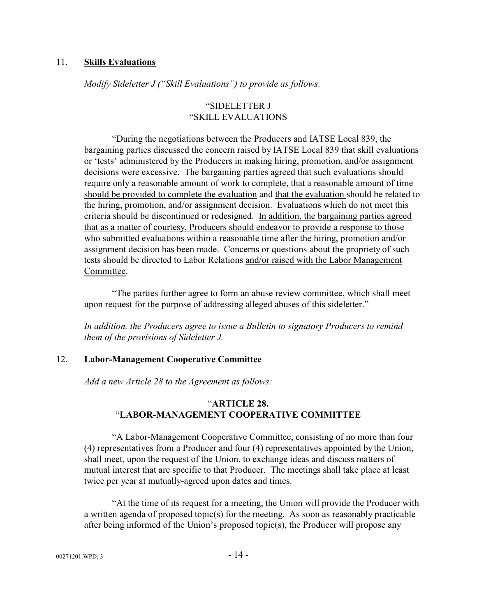#### 11. **Skills Evaluations**

*Modify Sideletter J ("Skill Evaluations") to provide as follows:*

### "SIDELETTER J "SKILL EVALUATIONS

"During the negotiations between the Producers and IATSE Local 839, the bargaining parties discussed the concern raised by IATSE Local 839 that skill evaluations or 'tests' administered by the Producers in making hiring, promotion, and/or assignment decisions were excessive. The bargaining parties agreed that such evaluations should require only a reasonable amount of work to complete, that a reasonable amount of time should be provided to complete the evaluation and that the evaluation should be related to the hiring, promotion, and/or assignment decision. Evaluations which do not meet this criteria should be discontinued or redesigned. In addition, the bargaining parties agreed that as a matter of courtesy, Producers should endeavor to provide a response to those who submitted evaluations within a reasonable time after the hiring, promotion and/or assignment decision has been made. Concerns or questions about the propriety of such tests should be directed to Labor Relations and/or raised with the Labor Management Committee.

"The parties further agree to form an abuse review committee, which shall meet upon request for the purpose of addressing alleged abuses of this sideletter."

*In addition, the Producers agree to issue a Bulletin to signatory Producers to remind them of the provisions of Sideletter J.* 

#### 12. **Labor-Management Cooperative Committee**

*Add a new Article 28 to the Agreement as follows:*

### "**ARTICLE 28.** "**LABOR-MANAGEMENT COOPERATIVE COMMITTEE**

"A Labor-Management Cooperative Committee, consisting of no more than four (4) representatives from a Producer and four (4) representatives appointed by the Union, shall meet, upon the request of the Union, to exchange ideas and discuss matters of mutual interest that are specific to that Producer. The meetings shall take place at least twice per year at mutually-agreed upon dates and times.

"At the time of its request for a meeting, the Union will provide the Producer with a written agenda of proposed topic(s) for the meeting. As soon as reasonably practicable after being informed of the Union's proposed topic(s), the Producer will propose any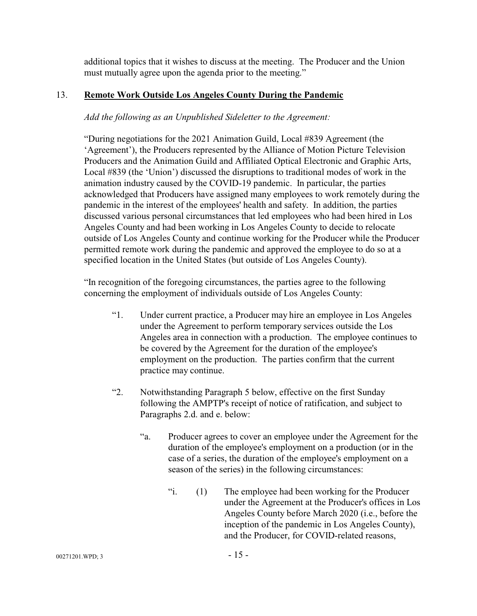additional topics that it wishes to discuss at the meeting. The Producer and the Union must mutually agree upon the agenda prior to the meeting."

## 13. **Remote Work Outside Los Angeles County During the Pandemic**

## *Add the following as an Unpublished Sideletter to the Agreement:*

"During negotiations for the 2021 Animation Guild, Local #839 Agreement (the 'Agreement'), the Producers represented by the Alliance of Motion Picture Television Producers and the Animation Guild and Affiliated Optical Electronic and Graphic Arts, Local #839 (the 'Union') discussed the disruptions to traditional modes of work in the animation industry caused by the COVID-19 pandemic. In particular, the parties acknowledged that Producers have assigned many employees to work remotely during the pandemic in the interest of the employees' health and safety. In addition, the parties discussed various personal circumstances that led employees who had been hired in Los Angeles County and had been working in Los Angeles County to decide to relocate outside of Los Angeles County and continue working for the Producer while the Producer permitted remote work during the pandemic and approved the employee to do so at a specified location in the United States (but outside of Los Angeles County).

"In recognition of the foregoing circumstances, the parties agree to the following concerning the employment of individuals outside of Los Angeles County:

- "1. Under current practice, a Producer may hire an employee in Los Angeles under the Agreement to perform temporary services outside the Los Angeles area in connection with a production. The employee continues to be covered by the Agreement for the duration of the employee's employment on the production. The parties confirm that the current practice may continue.
- "2. Notwithstanding Paragraph 5 below, effective on the first Sunday following the AMPTP's receipt of notice of ratification, and subject to Paragraphs 2.d. and e. below:
	- "a. Producer agrees to cover an employee under the Agreement for the duration of the employee's employment on a production (or in the case of a series, the duration of the employee's employment on a season of the series) in the following circumstances:
		- "i. (1) The employee had been working for the Producer under the Agreement at the Producer's offices in Los Angeles County before March 2020 (i.e., before the inception of the pandemic in Los Angeles County), and the Producer, for COVID-related reasons,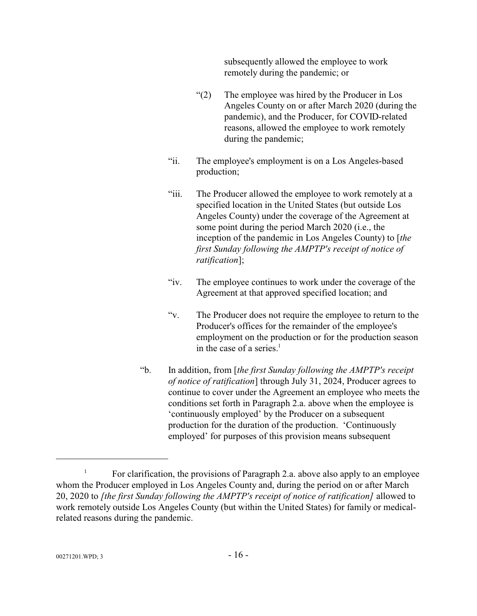subsequently allowed the employee to work remotely during the pandemic; or

- "(2) The employee was hired by the Producer in Los Angeles County on or after March 2020 (during the pandemic), and the Producer, for COVID-related reasons, allowed the employee to work remotely during the pandemic;
- "ii. The employee's employment is on a Los Angeles-based production;
- "iii. The Producer allowed the employee to work remotely at a specified location in the United States (but outside Los Angeles County) under the coverage of the Agreement at some point during the period March 2020 (i.e., the inception of the pandemic in Los Angeles County) to [*the first Sunday following the AMPTP's receipt of notice of ratification*];
- "iv. The employee continues to work under the coverage of the Agreement at that approved specified location; and
- "v. The Producer does not require the employee to return to the Producer's offices for the remainder of the employee's employment on the production or for the production season in the case of a series.<sup>1</sup>
- "b. In addition, from [*the first Sunday following the AMPTP's receipt of notice of ratification*] through July 31, 2024, Producer agrees to continue to cover under the Agreement an employee who meets the conditions set forth in Paragraph 2.a. above when the employee is 'continuously employed' by the Producer on a subsequent production for the duration of the production. 'Continuously employed' for purposes of this provision means subsequent

<sup>&</sup>lt;sup>1</sup> For clarification, the provisions of Paragraph 2.a. above also apply to an employee whom the Producer employed in Los Angeles County and, during the period on or after March 20, 2020 to *[the first Sunday following the AMPTP's receipt of notice of ratification]* allowed to work remotely outside Los Angeles County (but within the United States) for family or medicalrelated reasons during the pandemic.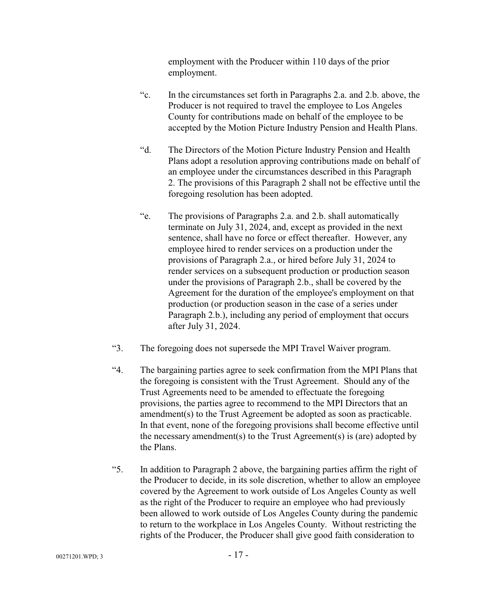employment with the Producer within 110 days of the prior employment.

- "c. In the circumstances set forth in Paragraphs 2.a. and 2.b. above, the Producer is not required to travel the employee to Los Angeles County for contributions made on behalf of the employee to be accepted by the Motion Picture Industry Pension and Health Plans.
- "d. The Directors of the Motion Picture Industry Pension and Health Plans adopt a resolution approving contributions made on behalf of an employee under the circumstances described in this Paragraph 2. The provisions of this Paragraph 2 shall not be effective until the foregoing resolution has been adopted.
- "e. The provisions of Paragraphs 2.a. and 2.b. shall automatically terminate on July 31, 2024, and, except as provided in the next sentence, shall have no force or effect thereafter. However, any employee hired to render services on a production under the provisions of Paragraph 2.a., or hired before July 31, 2024 to render services on a subsequent production or production season under the provisions of Paragraph 2.b., shall be covered by the Agreement for the duration of the employee's employment on that production (or production season in the case of a series under Paragraph 2.b.), including any period of employment that occurs after July 31, 2024.
- "3. The foregoing does not supersede the MPI Travel Waiver program.
- "4. The bargaining parties agree to seek confirmation from the MPI Plans that the foregoing is consistent with the Trust Agreement. Should any of the Trust Agreements need to be amended to effectuate the foregoing provisions, the parties agree to recommend to the MPI Directors that an amendment(s) to the Trust Agreement be adopted as soon as practicable. In that event, none of the foregoing provisions shall become effective until the necessary amendment(s) to the Trust Agreement(s) is (are) adopted by the Plans.
- "5. In addition to Paragraph 2 above, the bargaining parties affirm the right of the Producer to decide, in its sole discretion, whether to allow an employee covered by the Agreement to work outside of Los Angeles County as well as the right of the Producer to require an employee who had previously been allowed to work outside of Los Angeles County during the pandemic to return to the workplace in Los Angeles County. Without restricting the rights of the Producer, the Producer shall give good faith consideration to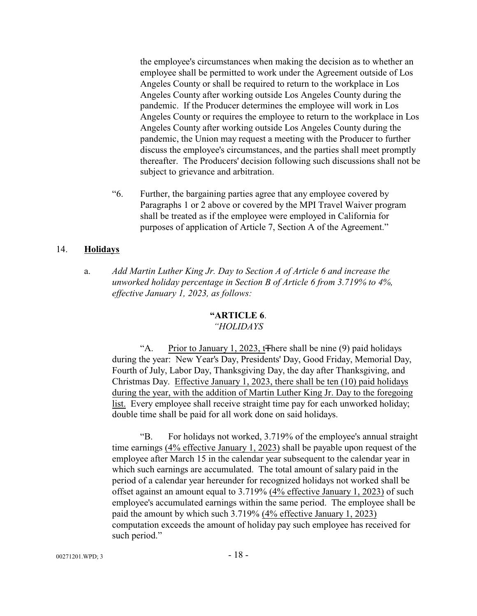the employee's circumstances when making the decision as to whether an employee shall be permitted to work under the Agreement outside of Los Angeles County or shall be required to return to the workplace in Los Angeles County after working outside Los Angeles County during the pandemic. If the Producer determines the employee will work in Los Angeles County or requires the employee to return to the workplace in Los Angeles County after working outside Los Angeles County during the pandemic, the Union may request a meeting with the Producer to further discuss the employee's circumstances, and the parties shall meet promptly thereafter. The Producers' decision following such discussions shall not be subject to grievance and arbitration.

"6. Further, the bargaining parties agree that any employee covered by Paragraphs 1 or 2 above or covered by the MPI Travel Waiver program shall be treated as if the employee were employed in California for purposes of application of Article 7, Section A of the Agreement."

#### 14. **Holidays**

a. *Add Martin Luther King Jr. Day to Section A of Article 6 and increase the unworked holiday percentage in Section B of Article 6 from 3.719% to 4%, effective January 1, 2023, as follows:*

### **"ARTICLE 6**.

### *"HOLIDAYS*

"A. Prior to January 1, 2023, to the shall be nine (9) paid holidays during the year: New Year's Day, Presidents' Day, Good Friday, Memorial Day, Fourth of July, Labor Day, Thanksgiving Day, the day after Thanksgiving, and Christmas Day. Effective January 1, 2023, there shall be ten (10) paid holidays during the year, with the addition of Martin Luther King Jr. Day to the foregoing list. Every employee shall receive straight time pay for each unworked holiday; double time shall be paid for all work done on said holidays.

"B. For holidays not worked, 3.719% of the employee's annual straight time earnings (4% effective January 1, 2023) shall be payable upon request of the employee after March 15 in the calendar year subsequent to the calendar year in which such earnings are accumulated. The total amount of salary paid in the period of a calendar year hereunder for recognized holidays not worked shall be offset against an amount equal to 3.719% (4% effective January 1, 2023) of such employee's accumulated earnings within the same period. The employee shall be paid the amount by which such 3.719% (4% effective January 1, 2023) computation exceeds the amount of holiday pay such employee has received for such period."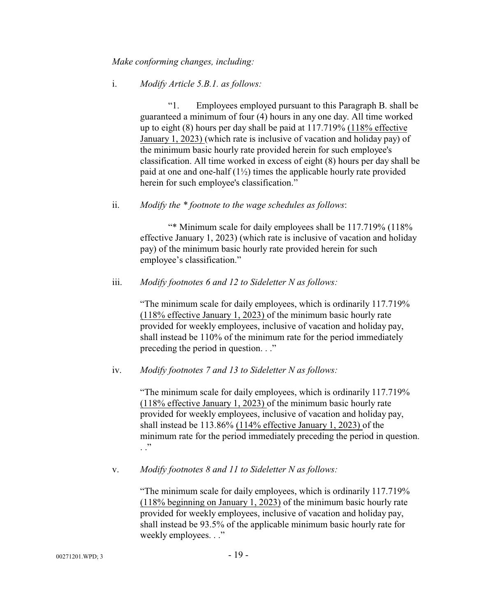#### *Make conforming changes, including:*

#### i. *Modify Article 5.B.1. as follows:*

"1. Employees employed pursuant to this Paragraph B. shall be guaranteed a minimum of four (4) hours in any one day. All time worked up to eight (8) hours per day shall be paid at 117.719% (118% effective January 1, 2023) (which rate is inclusive of vacation and holiday pay) of the minimum basic hourly rate provided herein for such employee's classification. All time worked in excess of eight (8) hours per day shall be paid at one and one-half  $(1\frac{1}{2})$  times the applicable hourly rate provided herein for such employee's classification."

#### ii. *Modify the \* footnote to the wage schedules as follows*:

"\* Minimum scale for daily employees shall be 117.719% (118% effective January 1, 2023) (which rate is inclusive of vacation and holiday pay) of the minimum basic hourly rate provided herein for such employee's classification."

#### iii. *Modify footnotes 6 and 12 to Sideletter N as follows:*

"The minimum scale for daily employees, which is ordinarily 117.719% (118% effective January 1, 2023) of the minimum basic hourly rate provided for weekly employees, inclusive of vacation and holiday pay, shall instead be 110% of the minimum rate for the period immediately preceding the period in question. . ."

#### iv. *Modify footnotes 7 and 13 to Sideletter N as follows:*

"The minimum scale for daily employees, which is ordinarily 117.719% (118% effective January 1, 2023) of the minimum basic hourly rate provided for weekly employees, inclusive of vacation and holiday pay, shall instead be 113.86% (114% effective January 1, 2023) of the minimum rate for the period immediately preceding the period in question. . ."

#### v. *Modify footnotes 8 and 11 to Sideletter N as follows:*

"The minimum scale for daily employees, which is ordinarily 117.719% (118% beginning on January 1, 2023) of the minimum basic hourly rate provided for weekly employees, inclusive of vacation and holiday pay, shall instead be 93.5% of the applicable minimum basic hourly rate for weekly employees. . ."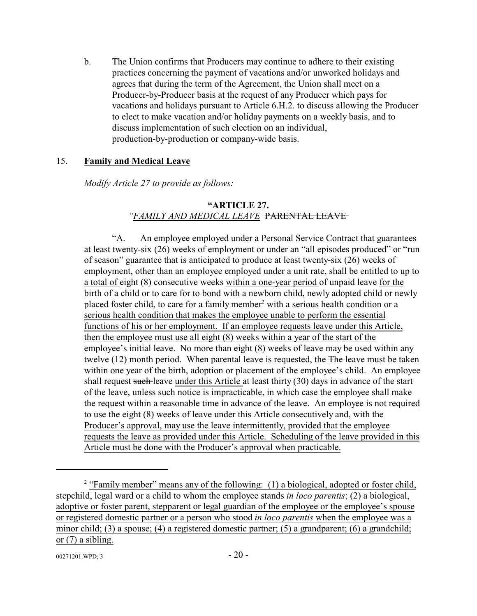b. The Union confirms that Producers may continue to adhere to their existing practices concerning the payment of vacations and/or unworked holidays and agrees that during the term of the Agreement, the Union shall meet on a Producer-by-Producer basis at the request of any Producer which pays for vacations and holidays pursuant to Article 6.H.2. to discuss allowing the Producer to elect to make vacation and/or holiday payments on a weekly basis, and to discuss implementation of such election on an individual, production-by-production or company-wide basis.

### 15. **Family and Medical Leave**

*Modify Article 27 to provide as follows:*

#### **"ARTICLE 27.** *"FAMILY AND MEDICAL LEAVE* PARENTAL LEAVE

"A. An employee employed under a Personal Service Contract that guarantees at least twenty-six (26) weeks of employment or under an "all episodes produced" or "run of season" guarantee that is anticipated to produce at least twenty-six (26) weeks of employment, other than an employee employed under a unit rate, shall be entitled to up to a total of eight (8) consecutive weeks within a one-year period of unpaid leave for the birth of a child or to care for to bond with a newborn child, newly adopted child or newly placed foster child, to care for a family member<sup>2</sup> with a serious health condition or a serious health condition that makes the employee unable to perform the essential functions of his or her employment. If an employee requests leave under this Article, then the employee must use all eight (8) weeks within a year of the start of the employee's initial leave. No more than eight (8) weeks of leave may be used within any twelve  $(12)$  month period. When parental leave is requested, the  $\overline{\text{The}}$  leave must be taken within one year of the birth, adoption or placement of the employee's child. An employee shall request such leave under this Article at least thirty (30) days in advance of the start of the leave, unless such notice is impracticable, in which case the employee shall make the request within a reasonable time in advance of the leave. An employee is not required to use the eight (8) weeks of leave under this Article consecutively and, with the Producer's approval, may use the leave intermittently, provided that the employee requests the leave as provided under this Article. Scheduling of the leave provided in this Article must be done with the Producer's approval when practicable.

<sup>&</sup>lt;sup>2</sup> "Family member" means any of the following: (1) a biological, adopted or foster child, stepchild, legal ward or a child to whom the employee stands *in loco parentis*; (2) a biological, adoptive or foster parent, stepparent or legal guardian of the employee or the employee's spouse or registered domestic partner or a person who stood *in loco parentis* when the employee was a minor child; (3) a spouse; (4) a registered domestic partner; (5) a grandparent; (6) a grandchild; or (7) a sibling.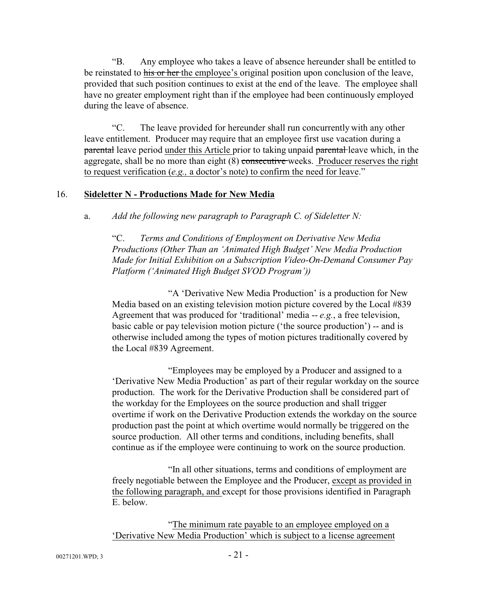"B. Any employee who takes a leave of absence hereunder shall be entitled to be reinstated to his or her the employee's original position upon conclusion of the leave, provided that such position continues to exist at the end of the leave. The employee shall have no greater employment right than if the employee had been continuously employed during the leave of absence.

"C. The leave provided for hereunder shall run concurrently with any other leave entitlement. Producer may require that an employee first use vacation during a parental leave period under this Article prior to taking unpaid parental-leave which, in the aggregate, shall be no more than eight (8) consecutive weeks. Producer reserves the right to request verification (*e.g.,* a doctor's note) to confirm the need for leave."

#### 16. **Sideletter N - Productions Made for New Media**

a. *Add the following new paragraph to Paragraph C. of Sideletter N:*

"C. *Terms and Conditions of Employment on Derivative New Media Productions (Other Than an 'Animated High Budget' New Media Production Made for Initial Exhibition on a Subscription Video-On-Demand Consumer Pay Platform ('Animated High Budget SVOD Program'))*

"A 'Derivative New Media Production' is a production for New Media based on an existing television motion picture covered by the Local #839 Agreement that was produced for 'traditional' media -- *e.g.*, a free television, basic cable or pay television motion picture ('the source production') -- and is otherwise included among the types of motion pictures traditionally covered by the Local #839 Agreement.

"Employees may be employed by a Producer and assigned to a 'Derivative New Media Production' as part of their regular workday on the source production. The work for the Derivative Production shall be considered part of the workday for the Employees on the source production and shall trigger overtime if work on the Derivative Production extends the workday on the source production past the point at which overtime would normally be triggered on the source production. All other terms and conditions, including benefits, shall continue as if the employee were continuing to work on the source production.

"In all other situations, terms and conditions of employment are freely negotiable between the Employee and the Producer, except as provided in the following paragraph, and except for those provisions identified in Paragraph E. below.

"The minimum rate payable to an employee employed on a 'Derivative New Media Production' which is subject to a license agreement

 $00271201. WPD$ ; 3 - 21 -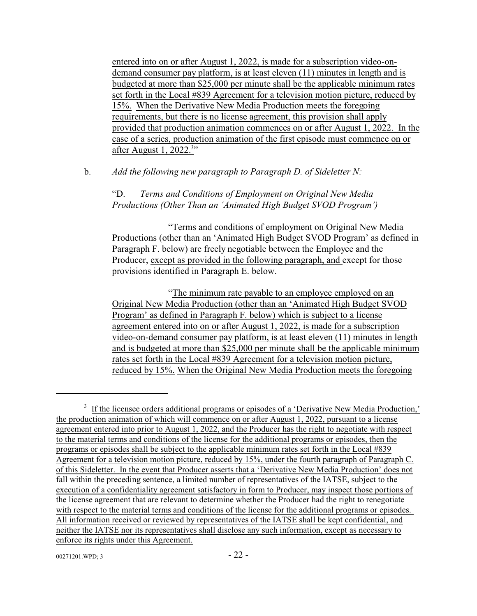entered into on or after August 1, 2022, is made for a subscription video-ondemand consumer pay platform, is at least eleven (11) minutes in length and is budgeted at more than \$25,000 per minute shall be the applicable minimum rates set forth in the Local #839 Agreement for a television motion picture, reduced by 15%. When the Derivative New Media Production meets the foregoing requirements, but there is no license agreement, this provision shall apply provided that production animation commences on or after August 1, 2022. In the case of a series, production animation of the first episode must commence on or after August 1, 2022.<sup>3</sup>"

b. *Add the following new paragraph to Paragraph D. of Sideletter N:*

"D. *Terms and Conditions of Employment on Original New Media Productions (Other Than an 'Animated High Budget SVOD Program')*

"Terms and conditions of employment on Original New Media Productions (other than an 'Animated High Budget SVOD Program' as defined in Paragraph F. below) are freely negotiable between the Employee and the Producer, except as provided in the following paragraph, and except for those provisions identified in Paragraph E. below.

"The minimum rate payable to an employee employed on an Original New Media Production (other than an 'Animated High Budget SVOD Program' as defined in Paragraph F. below) which is subject to a license agreement entered into on or after August 1, 2022, is made for a subscription video-on-demand consumer pay platform, is at least eleven (11) minutes in length and is budgeted at more than \$25,000 per minute shall be the applicable minimum rates set forth in the Local #839 Agreement for a television motion picture, reduced by 15%. When the Original New Media Production meets the foregoing

<sup>&</sup>lt;sup>3</sup> If the licensee orders additional programs or episodes of a 'Derivative New Media Production,' the production animation of which will commence on or after August 1, 2022, pursuant to a license agreement entered into prior to August 1, 2022, and the Producer has the right to negotiate with respect to the material terms and conditions of the license for the additional programs or episodes, then the programs or episodes shall be subject to the applicable minimum rates set forth in the Local #839 Agreement for a television motion picture, reduced by 15%, under the fourth paragraph of Paragraph C. of this Sideletter. In the event that Producer asserts that a 'Derivative New Media Production' does not fall within the preceding sentence, a limited number of representatives of the IATSE, subject to the execution of a confidentiality agreement satisfactory in form to Producer, may inspect those portions of the license agreement that are relevant to determine whether the Producer had the right to renegotiate with respect to the material terms and conditions of the license for the additional programs or episodes. All information received or reviewed by representatives of the IATSE shall be kept confidential, and neither the IATSE nor its representatives shall disclose any such information, except as necessary to enforce its rights under this Agreement.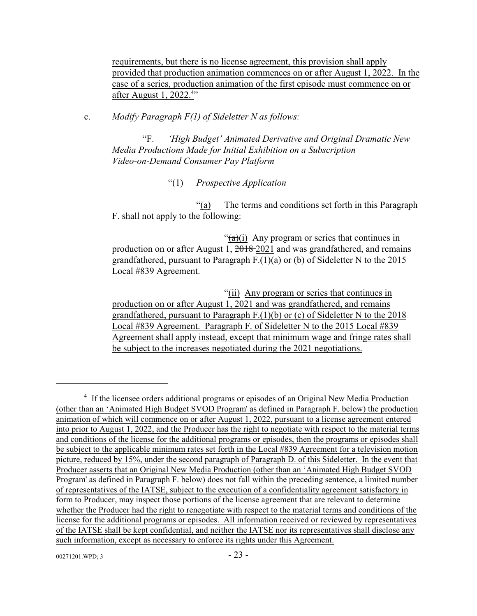requirements, but there is no license agreement, this provision shall apply provided that production animation commences on or after August 1, 2022. In the case of a series, production animation of the first episode must commence on or after August 1, 2022.<sup>4</sup>"

c. *Modify Paragraph F(1) of Sideletter N as follows:*

"F. *'High Budget' Animated Derivative and Original Dramatic New Media Productions Made for Initial Exhibition on a Subscription Video-on-Demand Consumer Pay Platform*

"(1) *Prospective Application*

"(a) The terms and conditions set forth in this Paragraph F. shall not apply to the following:

" $(a)(i)$  Any program or series that continues in production on or after August 1, 2018 2021 and was grandfathered, and remains grandfathered, pursuant to Paragraph F.(1)(a) or (b) of Sideletter N to the 2015 Local #839 Agreement.

"(ii) Any program or series that continues in production on or after August 1, 2021 and was grandfathered, and remains grandfathered, pursuant to Paragraph F.(1)(b) or (c) of Sideletter N to the 2018 Local #839 Agreement. Paragraph F. of Sideletter N to the 2015 Local #839 Agreement shall apply instead, except that minimum wage and fringe rates shall be subject to the increases negotiated during the 2021 negotiations.

<sup>&</sup>lt;sup>4</sup> If the licensee orders additional programs or episodes of an Original New Media Production (other than an 'Animated High Budget SVOD Program' as defined in Paragraph F. below) the production animation of which will commence on or after August 1, 2022, pursuant to a license agreement entered into prior to August 1, 2022, and the Producer has the right to negotiate with respect to the material terms and conditions of the license for the additional programs or episodes, then the programs or episodes shall be subject to the applicable minimum rates set forth in the Local #839 Agreement for a television motion picture, reduced by 15%, under the second paragraph of Paragraph D. of this Sideletter. In the event that Producer asserts that an Original New Media Production (other than an 'Animated High Budget SVOD Program' as defined in Paragraph F. below) does not fall within the preceding sentence, a limited number of representatives of the IATSE, subject to the execution of a confidentiality agreement satisfactory in form to Producer, may inspect those portions of the license agreement that are relevant to determine whether the Producer had the right to renegotiate with respect to the material terms and conditions of the license for the additional programs or episodes. All information received or reviewed by representatives of the IATSE shall be kept confidential, and neither the IATSE nor its representatives shall disclose any such information, except as necessary to enforce its rights under this Agreement.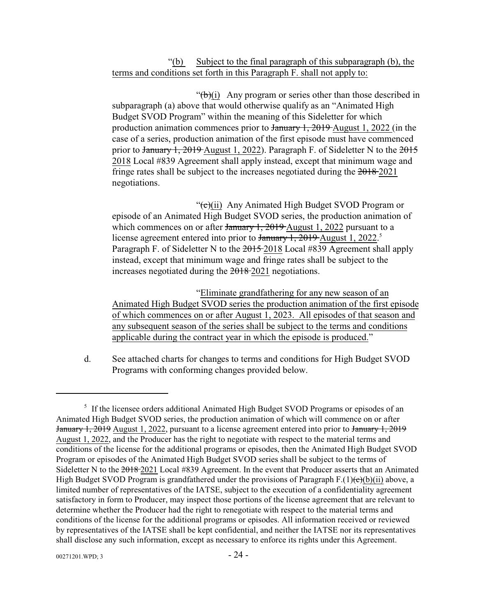### "(b) Subject to the final paragraph of this subparagraph (b), the terms and conditions set forth in this Paragraph F. shall not apply to:

" $(b)(i)$  Any program or series other than those described in subparagraph (a) above that would otherwise qualify as an "Animated High Budget SVOD Program" within the meaning of this Sideletter for which production animation commences prior to January 1, 2019 August 1, 2022 (in the case of a series, production animation of the first episode must have commenced prior to January 1, 2019 August 1, 2022). Paragraph F. of Sideletter N to the 2015 2018 Local #839 Agreement shall apply instead, except that minimum wage and fringe rates shall be subject to the increases negotiated during the  $2018-2021$ negotiations.

" $(e)(ii)$  Any Animated High Budget SVOD Program or episode of an Animated High Budget SVOD series, the production animation of which commences on or after  $\frac{1}{2019}$ ,  $\frac{2019}{2019}$  August 1, 2022 pursuant to a license agreement entered into prior to January 1, 2019 August 1, 2022.<sup>5</sup> Paragraph F. of Sideletter N to the 2015-2018 Local #839 Agreement shall apply instead, except that minimum wage and fringe rates shall be subject to the increases negotiated during the 2018 2021 negotiations.

"Eliminate grandfathering for any new season of an Animated High Budget SVOD series the production animation of the first episode of which commences on or after August 1, 2023. All episodes of that season and any subsequent season of the series shall be subject to the terms and conditions applicable during the contract year in which the episode is produced."

d. See attached charts for changes to terms and conditions for High Budget SVOD Programs with conforming changes provided below.

<sup>&</sup>lt;sup>5</sup> If the licensee orders additional Animated High Budget SVOD Programs or episodes of an Animated High Budget SVOD series, the production animation of which will commence on or after January 1, 2019 August 1, 2022, pursuant to a license agreement entered into prior to January 1, 2019 August 1, 2022, and the Producer has the right to negotiate with respect to the material terms and conditions of the license for the additional programs or episodes, then the Animated High Budget SVOD Program or episodes of the Animated High Budget SVOD series shall be subject to the terms of Sideletter N to the 2018 2021 Local #839 Agreement. In the event that Producer asserts that an Animated High Budget SVOD Program is grandfathered under the provisions of Paragraph F.(1) $\left(\frac{e}{c}\right)$ (b)(ii) above, a limited number of representatives of the IATSE, subject to the execution of a confidentiality agreement satisfactory in form to Producer, may inspect those portions of the license agreement that are relevant to determine whether the Producer had the right to renegotiate with respect to the material terms and conditions of the license for the additional programs or episodes. All information received or reviewed by representatives of the IATSE shall be kept confidential, and neither the IATSE nor its representatives shall disclose any such information, except as necessary to enforce its rights under this Agreement.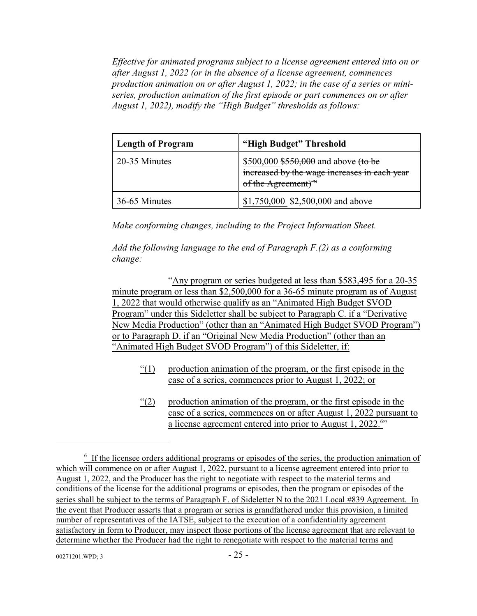*Effective for animated programs subject to a license agreement entered into on or after August 1, 2022 (or in the absence of a license agreement, commences production animation on or after August 1, 2022; in the case of a series or miniseries, production animation of the first episode or part commences on or after August 1, 2022), modify the "High Budget" thresholds as follows:*

| <b>Length of Program</b> | "High Budget" Threshold                                                                                                  |
|--------------------------|--------------------------------------------------------------------------------------------------------------------------|
| 20-35 Minutes            | \$500,000 $$550,000$ and above (to be<br>increased by the wage increases in each year<br>of the Agreement) <sup>FN</sup> |
| 36-65 Minutes            | \$1,750,000 $\frac{2,500,000}{2}$ and above                                                                              |

*Make conforming changes, including to the Project Information Sheet.*

*Add the following language to the end of Paragraph F.(2) as a conforming change:*

"Any program or series budgeted at less than \$583,495 for a 20-35 minute program or less than \$2,500,000 for a 36-65 minute program as of August 1, 2022 that would otherwise qualify as an "Animated High Budget SVOD Program" under this Sideletter shall be subject to Paragraph C. if a "Derivative New Media Production" (other than an "Animated High Budget SVOD Program") or to Paragraph D. if an "Original New Media Production" (other than an "Animated High Budget SVOD Program") of this Sideletter, if:

- "(1) production animation of the program, or the first episode in the case of a series, commences prior to August 1, 2022; or
- "(2) production animation of the program, or the first episode in the case of a series, commences on or after August 1, 2022 pursuant to a license agreement entered into prior to August 1, 2022.<sup>6</sup>"

 $<sup>6</sup>$  If the licensee orders additional programs or episodes of the series, the production animation of</sup> which will commence on or after August 1, 2022, pursuant to a license agreement entered into prior to August 1, 2022, and the Producer has the right to negotiate with respect to the material terms and conditions of the license for the additional programs or episodes, then the program or episodes of the series shall be subject to the terms of Paragraph F. of Sideletter N to the 2021 Local #839 Agreement. In the event that Producer asserts that a program or series is grandfathered under this provision, a limited number of representatives of the IATSE, subject to the execution of a confidentiality agreement satisfactory in form to Producer, may inspect those portions of the license agreement that are relevant to determine whether the Producer had the right to renegotiate with respect to the material terms and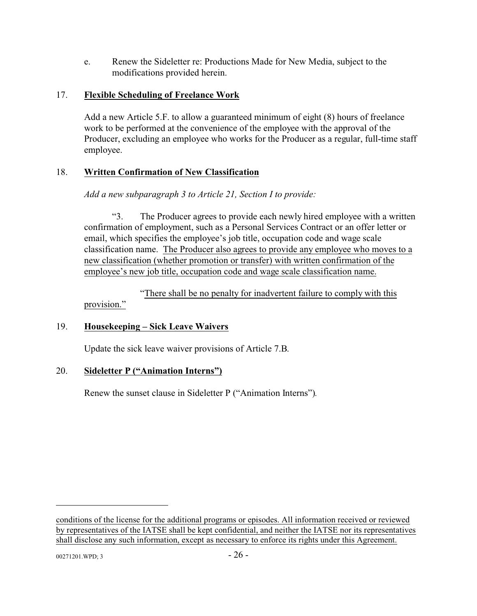e. Renew the Sideletter re: Productions Made for New Media, subject to the modifications provided herein.

## 17. **Flexible Scheduling of Freelance Work**

Add a new Article 5.F. to allow a guaranteed minimum of eight (8) hours of freelance work to be performed at the convenience of the employee with the approval of the Producer, excluding an employee who works for the Producer as a regular, full-time staff employee.

## 18. **Written Confirmation of New Classification**

*Add a new subparagraph 3 to Article 21, Section I to provide:*

"3. The Producer agrees to provide each newly hired employee with a written confirmation of employment, such as a Personal Services Contract or an offer letter or email, which specifies the employee's job title, occupation code and wage scale classification name. The Producer also agrees to provide any employee who moves to a new classification (whether promotion or transfer) with written confirmation of the employee's new job title, occupation code and wage scale classification name.

"There shall be no penalty for inadvertent failure to comply with this provision."

## 19. **Housekeeping – Sick Leave Waivers**

Update the sick leave waiver provisions of Article 7.B.

## 20. **Sideletter P ("Animation Interns")**

Renew the sunset clause in Sideletter P ("Animation Interns")*.*

conditions of the license for the additional programs or episodes. All information received or reviewed by representatives of the IATSE shall be kept confidential, and neither the IATSE nor its representatives shall disclose any such information, except as necessary to enforce its rights under this Agreement.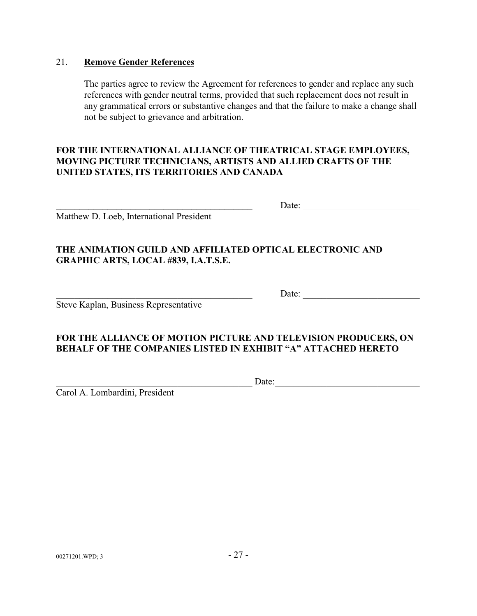### 21. **Remove Gender References**

The parties agree to review the Agreement for references to gender and replace any such references with gender neutral terms, provided that such replacement does not result in any grammatical errors or substantive changes and that the failure to make a change shall not be subject to grievance and arbitration.

## **FOR THE INTERNATIONAL ALLIANCE OF THEATRICAL STAGE EMPLOYEES, MOVING PICTURE TECHNICIANS, ARTISTS AND ALLIED CRAFTS OF THE UNITED STATES, ITS TERRITORIES AND CANADA**

Matthew D. Loeb, International President

|--|

Date:

## **THE ANIMATION GUILD AND AFFILIATED OPTICAL ELECTRONIC AND GRAPHIC ARTS, LOCAL #839, I.A.T.S.E.**

Steve Kaplan, Business Representative

## **FOR THE ALLIANCE OF MOTION PICTURE AND TELEVISION PRODUCERS, ON BEHALF OF THE COMPANIES LISTED IN EXHIBIT "A" ATTACHED HERETO**

Carol A. Lombardini, President

 $Date:$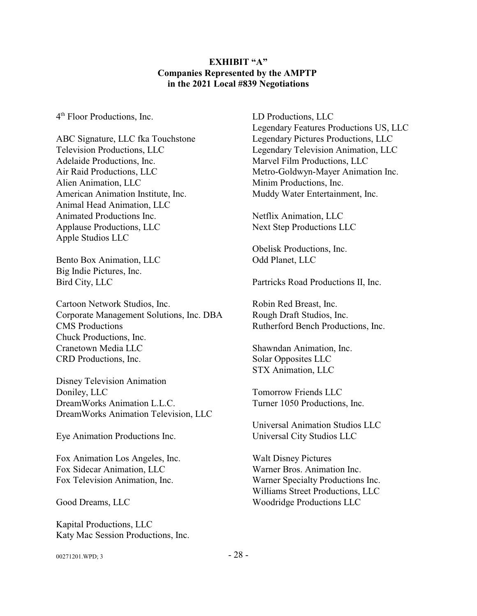#### **EXHIBIT "A" Companies Represented by the AMPTP in the 2021 Local #839 Negotiations**

4 th Floor Productions, Inc.

ABC Signature, LLC fka Touchstone Television Productions, LLC Adelaide Productions, Inc. Air Raid Productions, LLC Alien Animation, LLC American Animation Institute, Inc. Animal Head Animation, LLC Animated Productions Inc. Applause Productions, LLC Apple Studios LLC

Bento Box Animation, LLC Big Indie Pictures, Inc. Bird City, LLC

Cartoon Network Studios, Inc. Corporate Management Solutions, Inc. DBA CMS Productions Chuck Productions, Inc. Cranetown Media LLC CRD Productions, Inc.

Disney Television Animation Doniley, LLC DreamWorks Animation L.L.C. DreamWorks Animation Television, LLC

Eye Animation Productions Inc.

Fox Animation Los Angeles, Inc. Fox Sidecar Animation, LLC Fox Television Animation, Inc.

Good Dreams, LLC

Kapital Productions, LLC Katy Mac Session Productions, Inc. LD Productions, LLC Legendary Features Productions US, LLC Legendary Pictures Productions, LLC Legendary Television Animation, LLC Marvel Film Productions, LLC Metro-Goldwyn-Mayer Animation Inc. Minim Productions, Inc. Muddy Water Entertainment, Inc.

Netflix Animation, LLC Next Step Productions LLC

Obelisk Productions, Inc. Odd Planet, LLC

Partricks Road Productions II, Inc.

Robin Red Breast, Inc. Rough Draft Studios, Inc. Rutherford Bench Productions, Inc.

Shawndan Animation, Inc. Solar Opposites LLC STX Animation, LLC

Tomorrow Friends LLC Turner 1050 Productions, Inc.

Universal Animation Studios LLC Universal City Studios LLC

Walt Disney Pictures Warner Bros. Animation Inc. Warner Specialty Productions Inc. Williams Street Productions, LLC Woodridge Productions LLC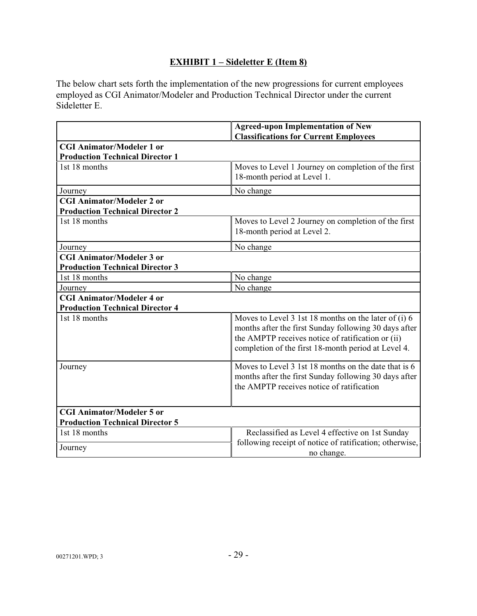## **EXHIBIT 1 – Sideletter E (Item 8)**

The below chart sets forth the implementation of the new progressions for current employees employed as CGI Animator/Modeler and Production Technical Director under the current Sideletter E.

|                                        | <b>Agreed-upon Implementation of New</b><br><b>Classifications for Current Employees</b>                                                                                                                                  |
|----------------------------------------|---------------------------------------------------------------------------------------------------------------------------------------------------------------------------------------------------------------------------|
| <b>CGI Animator/Modeler 1 or</b>       |                                                                                                                                                                                                                           |
| <b>Production Technical Director 1</b> |                                                                                                                                                                                                                           |
| 1st 18 months                          | Moves to Level 1 Journey on completion of the first<br>18-month period at Level 1.                                                                                                                                        |
| Journey                                | No change                                                                                                                                                                                                                 |
| <b>CGI Animator/Modeler 2 or</b>       |                                                                                                                                                                                                                           |
| <b>Production Technical Director 2</b> |                                                                                                                                                                                                                           |
| 1st 18 months                          | Moves to Level 2 Journey on completion of the first<br>18-month period at Level 2.                                                                                                                                        |
| Journey                                | No change                                                                                                                                                                                                                 |
| <b>CGI Animator/Modeler 3 or</b>       |                                                                                                                                                                                                                           |
| <b>Production Technical Director 3</b> |                                                                                                                                                                                                                           |
| 1st 18 months                          | No change                                                                                                                                                                                                                 |
| Journey                                | No change                                                                                                                                                                                                                 |
| <b>CGI Animator/Modeler 4 or</b>       |                                                                                                                                                                                                                           |
| <b>Production Technical Director 4</b> |                                                                                                                                                                                                                           |
| 1st 18 months                          | Moves to Level 3 1st 18 months on the later of (i) 6<br>months after the first Sunday following 30 days after<br>the AMPTP receives notice of ratification or (ii)<br>completion of the first 18-month period at Level 4. |
| Journey                                | Moves to Level 3 1st 18 months on the date that is 6<br>months after the first Sunday following 30 days after<br>the AMPTP receives notice of ratification                                                                |
| <b>CGI Animator/Modeler 5 or</b>       |                                                                                                                                                                                                                           |
| <b>Production Technical Director 5</b> |                                                                                                                                                                                                                           |
| 1st 18 months                          | Reclassified as Level 4 effective on 1st Sunday                                                                                                                                                                           |
| Journey                                | following receipt of notice of ratification; otherwise,<br>no change.                                                                                                                                                     |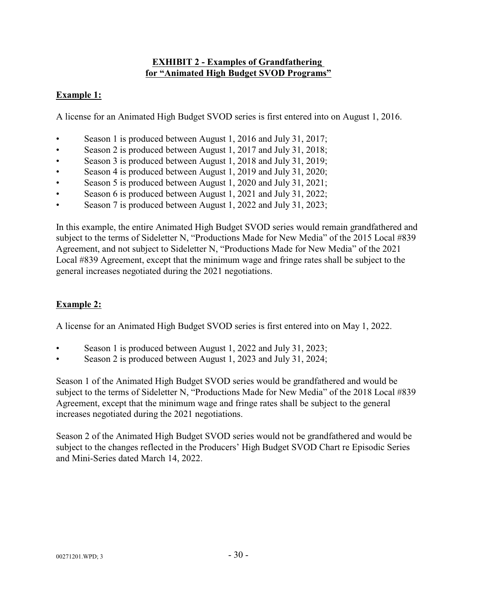### **EXHIBIT 2 - Examples of Grandfathering for "Animated High Budget SVOD Programs"**

## **Example 1:**

A license for an Animated High Budget SVOD series is first entered into on August 1, 2016.

- Season 1 is produced between August 1, 2016 and July 31, 2017;
- Season 2 is produced between August 1, 2017 and July 31, 2018;
- Season 3 is produced between August 1, 2018 and July 31, 2019;
- Season 4 is produced between August 1, 2019 and July 31, 2020;
- Season 5 is produced between August 1, 2020 and July 31, 2021;
- Season 6 is produced between August 1, 2021 and July 31, 2022;
- Season 7 is produced between August 1, 2022 and July 31, 2023;

In this example, the entire Animated High Budget SVOD series would remain grandfathered and subject to the terms of Sideletter N, "Productions Made for New Media" of the 2015 Local #839 Agreement, and not subject to Sideletter N, "Productions Made for New Media" of the 2021 Local #839 Agreement, except that the minimum wage and fringe rates shall be subject to the general increases negotiated during the 2021 negotiations.

## **Example 2:**

A license for an Animated High Budget SVOD series is first entered into on May 1, 2022.

- Season 1 is produced between August 1, 2022 and July 31, 2023;
- Season 2 is produced between August 1, 2023 and July 31, 2024;

Season 1 of the Animated High Budget SVOD series would be grandfathered and would be subject to the terms of Sideletter N, "Productions Made for New Media" of the 2018 Local #839 Agreement, except that the minimum wage and fringe rates shall be subject to the general increases negotiated during the 2021 negotiations.

Season 2 of the Animated High Budget SVOD series would not be grandfathered and would be subject to the changes reflected in the Producers' High Budget SVOD Chart re Episodic Series and Mini-Series dated March 14, 2022.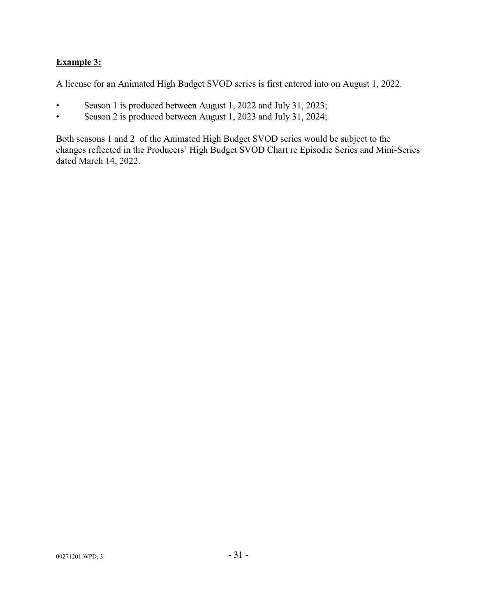## **Example 3:**

A license for an Animated High Budget SVOD series is first entered into on August 1, 2022.

- Season 1 is produced between August 1, 2022 and July 31, 2023;
- Season 2 is produced between August 1, 2023 and July 31, 2024;

Both seasons 1 and 2 of the Animated High Budget SVOD series would be subject to the changes reflected in the Producers' High Budget SVOD Chart re Episodic Series and Mini-Series dated March 14, 2022.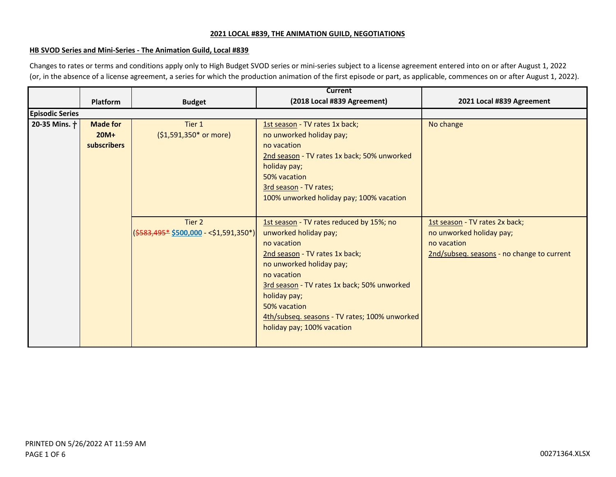#### **HB SVOD Series and Mini-Series - The Animation Guild, Local #839**

Changes to rates or terms and conditions apply only to High Budget SVOD series or mini-series subject to a license agreement entered into on or after August 1, 2022 (or, in the absence of a license agreement, a series for which the production animation of the first episode or part, as applicable, commences on or after August 1, 2022).

|                        |                 |                                                         | Current                                       |                                            |
|------------------------|-----------------|---------------------------------------------------------|-----------------------------------------------|--------------------------------------------|
|                        | <b>Platform</b> | <b>Budget</b>                                           | (2018 Local #839 Agreement)                   | 2021 Local #839 Agreement                  |
| <b>Episodic Series</b> |                 |                                                         |                                               |                                            |
| 20-35 Mins. +          | <b>Made for</b> | Tier 1                                                  | 1st season - TV rates 1x back;                | No change                                  |
|                        | $20M+$          | (\$1,591,350* or more)                                  | no unworked holiday pay;                      |                                            |
|                        | subscribers     |                                                         | no vacation                                   |                                            |
|                        |                 |                                                         | 2nd season - TV rates 1x back; 50% unworked   |                                            |
|                        |                 |                                                         | holiday pay;                                  |                                            |
|                        |                 |                                                         | 50% vacation                                  |                                            |
|                        |                 |                                                         | 3rd season - TV rates;                        |                                            |
|                        |                 |                                                         | 100% unworked holiday pay; 100% vacation      |                                            |
|                        |                 |                                                         |                                               |                                            |
|                        |                 | Tier 2                                                  | 1st season - TV rates reduced by 15%; no      | 1st season - TV rates 2x back;             |
|                        |                 | $(\frac{2583,495*}{2500,000} - \frac{251,591,350*}{2})$ | unworked holiday pay;                         | no unworked holiday pay;                   |
|                        |                 |                                                         | no vacation                                   | no vacation                                |
|                        |                 |                                                         | 2nd season - TV rates 1x back;                | 2nd/subseq. seasons - no change to current |
|                        |                 |                                                         | no unworked holiday pay;                      |                                            |
|                        |                 |                                                         | no vacation                                   |                                            |
|                        |                 |                                                         | 3rd season - TV rates 1x back; 50% unworked   |                                            |
|                        |                 |                                                         | holiday pay;                                  |                                            |
|                        |                 |                                                         | 50% vacation                                  |                                            |
|                        |                 |                                                         | 4th/subseq. seasons - TV rates; 100% unworked |                                            |
|                        |                 |                                                         | holiday pay; 100% vacation                    |                                            |
|                        |                 |                                                         |                                               |                                            |
|                        |                 |                                                         |                                               |                                            |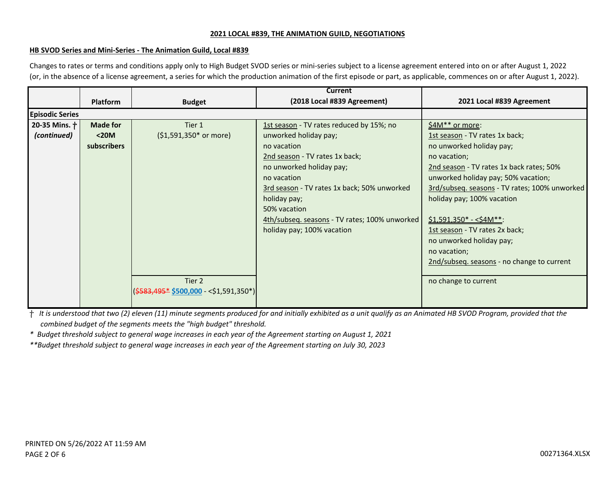#### **HB SVOD Series and Mini-Series - The Animation Guild, Local #839**

Changes to rates or terms and conditions apply only to High Budget SVOD series or mini-series subject to a license agreement entered into on or after August 1, 2022 (or, in the absence of a license agreement, a series for which the production animation of the first episode or part, as applicable, commences on or after August 1, 2022).

|                        |                      |                                                                                                       | Current                                                                                                                                                                                                                                                                         |                                                                                                                                                                                                                                                                                                                                                                                                                            |
|------------------------|----------------------|-------------------------------------------------------------------------------------------------------|---------------------------------------------------------------------------------------------------------------------------------------------------------------------------------------------------------------------------------------------------------------------------------|----------------------------------------------------------------------------------------------------------------------------------------------------------------------------------------------------------------------------------------------------------------------------------------------------------------------------------------------------------------------------------------------------------------------------|
|                        | Platform             | <b>Budget</b>                                                                                         | (2018 Local #839 Agreement)                                                                                                                                                                                                                                                     | 2021 Local #839 Agreement                                                                                                                                                                                                                                                                                                                                                                                                  |
| <b>Episodic Series</b> |                      |                                                                                                       |                                                                                                                                                                                                                                                                                 |                                                                                                                                                                                                                                                                                                                                                                                                                            |
| 20-35 Mins. +          | <b>Made for</b>      | Tier 1                                                                                                | 1st season - TV rates reduced by 15%; no                                                                                                                                                                                                                                        | \$4M** or more:                                                                                                                                                                                                                                                                                                                                                                                                            |
| (continued)            | $20M$<br>subscribers | (\$1,591,350* or more)<br>Tier 2<br>$(\frac{2583}{495} \cdot \frac{5500}{100} - \frac{51}{591}350^*)$ | unworked holiday pay;<br>no vacation<br>2nd season - TV rates 1x back;<br>no unworked holiday pay;<br>no vacation<br>3rd season - TV rates 1x back; 50% unworked<br>holiday pay;<br>50% vacation<br>4th/subseq. seasons - TV rates; 100% unworked<br>holiday pay; 100% vacation | 1st season - TV rates 1x back;<br>no unworked holiday pay;<br>no vacation;<br>2nd season - TV rates 1x back rates; 50%<br>unworked holiday pay; 50% vacation;<br>3rd/subseq. seasons - TV rates; 100% unworked<br>holiday pay; 100% vacation<br>$$1,591,350*-<$4M**$ :<br>1st season - TV rates 2x back;<br>no unworked holiday pay;<br>no vacation;<br>2nd/subseq. seasons - no change to current<br>no change to current |

ⴕ *It is understood that two (2) eleven (11) minute segments produced for and initially exhibited as a unit qualify as an Animated HB SVOD Program, provided that the combined budget of the segments meets the "high budget" threshold.*

*\* Budget threshold subject to general wage increases in each year of the Agreement starting on August 1, 2021*

*\*\*Budget threshold subject to general wage increases in each year of the Agreement starting on July 30, 2023*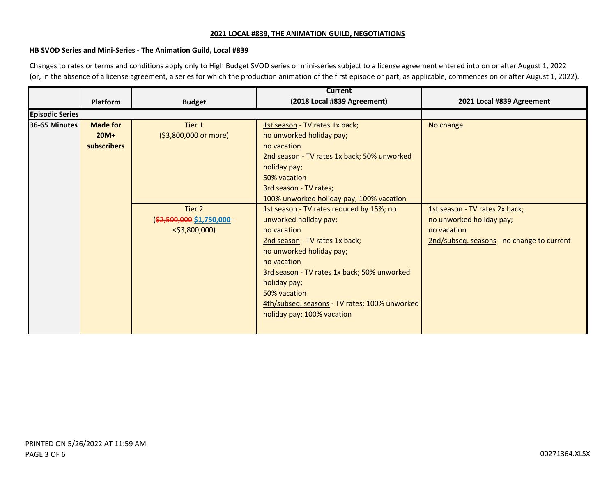#### **HB SVOD Series and Mini-Series - The Animation Guild, Local #839**

Changes to rates or terms and conditions apply only to High Budget SVOD series or mini-series subject to a license agreement entered into on or after August 1, 2022 (or, in the absence of a license agreement, a series for which the production animation of the first episode or part, as applicable, commences on or after August 1, 2022).

|                        |                 |                            | Current                                       |                                            |
|------------------------|-----------------|----------------------------|-----------------------------------------------|--------------------------------------------|
|                        | Platform        | <b>Budget</b>              | (2018 Local #839 Agreement)                   | 2021 Local #839 Agreement                  |
| <b>Episodic Series</b> |                 |                            |                                               |                                            |
| 36-65 Minutes          | <b>Made for</b> | Tier 1                     | 1st season - TV rates 1x back;                | No change                                  |
|                        | $20M+$          | (\$3,800,000 or more)      | no unworked holiday pay;                      |                                            |
|                        | subscribers     |                            | no vacation                                   |                                            |
|                        |                 |                            | 2nd season - TV rates 1x back; 50% unworked   |                                            |
|                        |                 |                            | holiday pay;                                  |                                            |
|                        |                 |                            | 50% vacation                                  |                                            |
|                        |                 |                            | 3rd season - TV rates;                        |                                            |
|                        |                 |                            | 100% unworked holiday pay; 100% vacation      |                                            |
|                        |                 | Tier 2                     | 1st season - TV rates reduced by 15%; no      | 1st season - TV rates 2x back;             |
|                        |                 | (\$2,500,000 \$1,750,000 - | unworked holiday pay;                         | no unworked holiday pay;                   |
|                        |                 | $<$ \$3,800,000)           | no vacation                                   | no vacation                                |
|                        |                 |                            | 2nd season - TV rates 1x back;                | 2nd/subseq. seasons - no change to current |
|                        |                 |                            | no unworked holiday pay;                      |                                            |
|                        |                 |                            | no vacation                                   |                                            |
|                        |                 |                            | 3rd season - TV rates 1x back; 50% unworked   |                                            |
|                        |                 |                            | holiday pay;                                  |                                            |
|                        |                 |                            | 50% vacation                                  |                                            |
|                        |                 |                            | 4th/subseq. seasons - TV rates; 100% unworked |                                            |
|                        |                 |                            | holiday pay; 100% vacation                    |                                            |
|                        |                 |                            |                                               |                                            |
|                        |                 |                            |                                               |                                            |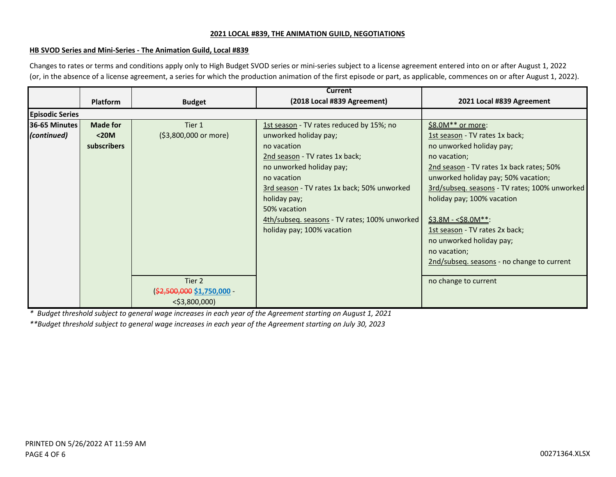#### **HB SVOD Series and Mini-Series - The Animation Guild, Local #839**

Changes to rates or terms and conditions apply only to High Budget SVOD series or mini-series subject to a license agreement entered into on or after August 1, 2022 (or, in the absence of a license agreement, a series for which the production animation of the first episode or part, as applicable, commences on or after August 1, 2022).

|                                     |                                         |                                                          | <b>Current</b>                                                                                                                                                                                                                                                                                                              |                                                                                                                                                                                                                                                                                                                            |
|-------------------------------------|-----------------------------------------|----------------------------------------------------------|-----------------------------------------------------------------------------------------------------------------------------------------------------------------------------------------------------------------------------------------------------------------------------------------------------------------------------|----------------------------------------------------------------------------------------------------------------------------------------------------------------------------------------------------------------------------------------------------------------------------------------------------------------------------|
|                                     | <b>Platform</b>                         | <b>Budget</b>                                            | (2018 Local #839 Agreement)                                                                                                                                                                                                                                                                                                 | 2021 Local #839 Agreement                                                                                                                                                                                                                                                                                                  |
| <b>Episodic Series</b>              |                                         |                                                          |                                                                                                                                                                                                                                                                                                                             |                                                                                                                                                                                                                                                                                                                            |
| <b>36-65 Minutes</b><br>(continued) | <b>Made for</b><br>$20M$<br>subscribers | Tier 1<br>(\$3,800,000 or more)                          | 1st season - TV rates reduced by 15%; no<br>unworked holiday pay;<br>no vacation<br>2nd season - TV rates 1x back;<br>no unworked holiday pay;<br>no vacation<br>3rd season - TV rates 1x back; 50% unworked<br>holiday pay;<br>50% vacation<br>4th/subseq. seasons - TV rates; 100% unworked<br>holiday pay; 100% vacation | \$8.0M** or more:<br>1st season - TV rates 1x back;<br>no unworked holiday pay;<br>no vacation;<br>2nd season - TV rates 1x back rates; 50%<br>unworked holiday pay; 50% vacation;<br>3rd/subseq. seasons - TV rates; 100% unworked<br>holiday pay; 100% vacation<br>$$3.8M - $8.0M$ **:<br>1st season - TV rates 2x back; |
|                                     |                                         | Tier 2<br>(\$2,500,000 \$1,750,000 -<br>$<$ \$3,800,000) |                                                                                                                                                                                                                                                                                                                             | no unworked holiday pay;<br>no vacation;<br>2nd/subseq. seasons - no change to current<br>no change to current                                                                                                                                                                                                             |

*\* Budget threshold subject to general wage increases in each year of the Agreement starting on August 1, 2021*

*\*\*Budget threshold subject to general wage increases in each year of the Agreement starting on July 30, 2023*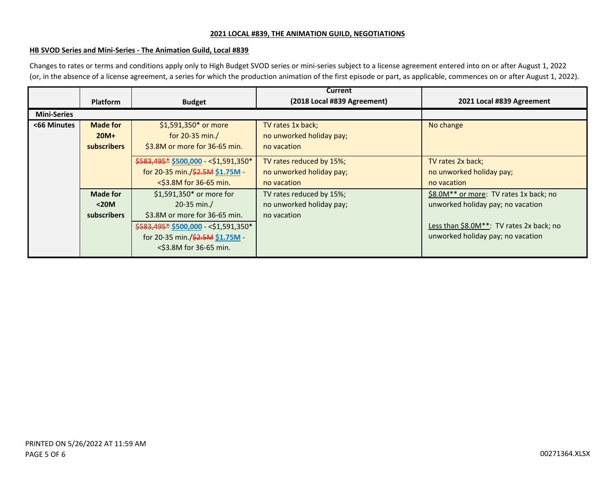#### **HB SVOD Series and Mini-Series - The Animation Guild, Local #839**

Changes to rates or terms and conditions apply only to High Budget SVOD series or mini-series subject to a license agreement entered into on or after August 1, 2022 (or, in the absence of a license agreement, a series for which the production animation of the first episode or part, as applicable, commences on or after August 1, 2022).

|                    |                    |                                       | <b>Current</b>              |                                          |
|--------------------|--------------------|---------------------------------------|-----------------------------|------------------------------------------|
|                    | <b>Platform</b>    | <b>Budget</b>                         | (2018 Local #839 Agreement) | 2021 Local #839 Agreement                |
| <b>Mini-Series</b> |                    |                                       |                             |                                          |
| <66 Minutes        | <b>Made for</b>    | \$1,591,350* or more                  | TV rates 1x back;           | No change                                |
|                    | $20M+$             | for $20-35$ min./                     | no unworked holiday pay;    |                                          |
|                    | <b>subscribers</b> | \$3.8M or more for 36-65 min.         | no vacation                 |                                          |
|                    |                    | \$583,495* \$500,000 - < \$1,591,350* | TV rates reduced by 15%;    | TV rates 2x back;                        |
|                    |                    | for 20-35 min./\$2.5M \$1.75M -       | no unworked holiday pay;    | no unworked holiday pay;                 |
|                    |                    | <\$3.8M for 36-65 min.                | no vacation                 | no vacation                              |
|                    | <b>Made for</b>    | \$1,591,350* or more for              | TV rates reduced by 15%;    | \$8.0M** or more: TV rates 1x back; no   |
|                    | $<$ 20M            | 20-35 min./                           | no unworked holiday pay;    | unworked holiday pay; no vacation        |
|                    | <b>subscribers</b> | \$3.8M or more for 36-65 min.         | no vacation                 |                                          |
|                    |                    | \$583,495* \$500,000 - < \$1,591,350* |                             | Less than \$8.0M**: TV rates 2x back; no |
|                    |                    | for 20-35 min./\$2.5M \$1.75M -       |                             | unworked holiday pay; no vacation        |
|                    |                    | <\$3.8M for 36-65 min.                |                             |                                          |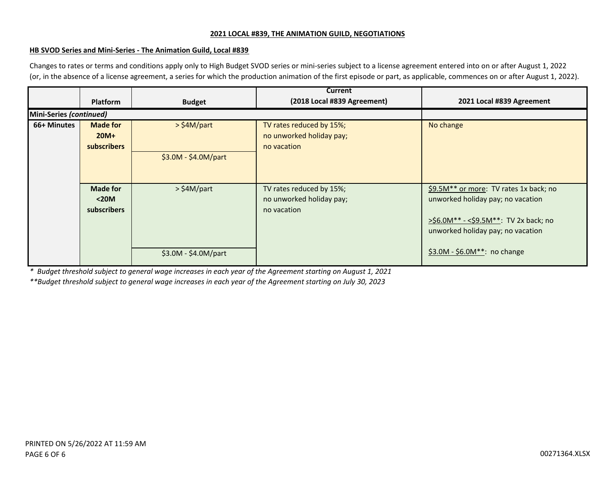#### **HB SVOD Series and Mini-Series - The Animation Guild, Local #839**

Changes to rates or terms and conditions apply only to High Budget SVOD series or mini-series subject to a license agreement entered into on or after August 1, 2022 (or, in the absence of a license agreement, a series for which the production animation of the first episode or part, as applicable, commences on or after August 1, 2022).

|                         | <b>Platform</b>                                 | <b>Budget</b>        | <b>Current</b><br>(2018 Local #839 Agreement)                       | 2021 Local #839 Agreement                                                                                                                                        |
|-------------------------|-------------------------------------------------|----------------------|---------------------------------------------------------------------|------------------------------------------------------------------------------------------------------------------------------------------------------------------|
| Mini-Series (continued) |                                                 |                      |                                                                     |                                                                                                                                                                  |
| 66+ Minutes             | <b>Made for</b><br>$20M+$<br><b>subscribers</b> | $>$ \$4M/part        | TV rates reduced by 15%;<br>no unworked holiday pay;<br>no vacation | No change                                                                                                                                                        |
|                         |                                                 | $$3.0M - $4.0M/part$ |                                                                     |                                                                                                                                                                  |
|                         | <b>Made for</b><br>$20M$<br>subscribers         | $>$ \$4M/part        | TV rates reduced by 15%;<br>no unworked holiday pay;<br>no vacation | \$9.5M** or more: TV rates 1x back; no<br>unworked holiday pay; no vacation<br>$>56.0M^{**} - <59.5M^{**}$ : TV 2x back; no<br>unworked holiday pay; no vacation |
|                         |                                                 | \$3.0M - \$4.0M/part |                                                                     | \$3.0M - \$6.0M**: no change                                                                                                                                     |

*\* Budget threshold subject to general wage increases in each year of the Agreement starting on August 1, 2021*

*\*\*Budget threshold subject to general wage increases in each year of the Agreement starting on July 30, 2023*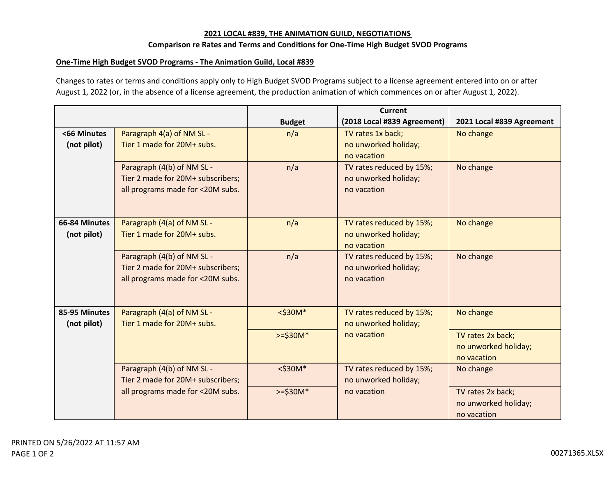#### **Comparison re Rates and Terms and Conditions for One-Time High Budget SVOD Programs**

#### **One-Time High Budget SVOD Programs - The Animation Guild, Local #839**

Changes to rates or terms and conditions apply only to High Budget SVOD Programs subject to a license agreement entered into on or after August 1, 2022 (or, in the absence of a license agreement, the production animation of which commences on or after August 1, 2022).

|               |                                                          |               | Current                                          |                           |
|---------------|----------------------------------------------------------|---------------|--------------------------------------------------|---------------------------|
|               |                                                          | <b>Budget</b> | (2018 Local #839 Agreement)                      | 2021 Local #839 Agreement |
| <66 Minutes   | Paragraph 4(a) of NM SL -                                | n/a           | TV rates 1x back;                                | No change                 |
| (not pilot)   | Tier 1 made for 20M+ subs.                               |               | no unworked holiday;                             |                           |
|               |                                                          |               | no vacation                                      |                           |
|               | Paragraph (4(b) of NM SL -                               | n/a           | TV rates reduced by 15%;                         | No change                 |
|               | Tier 2 made for 20M+ subscribers;                        |               | no unworked holiday;                             |                           |
|               | all programs made for <20M subs.                         |               | no vacation                                      |                           |
|               |                                                          |               |                                                  |                           |
|               |                                                          |               |                                                  |                           |
| 66-84 Minutes | Paragraph (4(a) of NM SL -                               | n/a           | TV rates reduced by 15%;                         | No change                 |
| (not pilot)   | Tier 1 made for 20M+ subs.                               |               | no unworked holiday;                             |                           |
|               |                                                          |               | no vacation                                      |                           |
|               | Paragraph (4(b) of NM SL -                               | n/a           | TV rates reduced by 15%;                         | No change                 |
|               | Tier 2 made for 20M+ subscribers;                        |               | no unworked holiday;                             |                           |
|               | all programs made for <20M subs.                         |               | no vacation                                      |                           |
|               |                                                          |               |                                                  |                           |
|               |                                                          |               |                                                  |                           |
| 85-95 Minutes | Paragraph (4(a) of NM SL -<br>Tier 1 made for 20M+ subs. | $<$ \$30M*    | TV rates reduced by 15%;<br>no unworked holiday; | No change                 |
| (not pilot)   |                                                          |               |                                                  |                           |
|               |                                                          | $>=$ \$30M*   | no vacation                                      | TV rates 2x back;         |
|               |                                                          |               |                                                  | no unworked holiday;      |
|               |                                                          |               |                                                  | no vacation               |
|               | Paragraph (4(b) of NM SL -                               | $<$ \$30M*    | TV rates reduced by 15%;                         | No change                 |
|               | Tier 2 made for 20M+ subscribers;                        |               | no unworked holiday;                             |                           |
|               | all programs made for <20M subs.                         | $>=$ \$30M*   | no vacation                                      | TV rates 2x back;         |
|               |                                                          |               |                                                  | no unworked holiday;      |
|               |                                                          |               |                                                  | no vacation               |